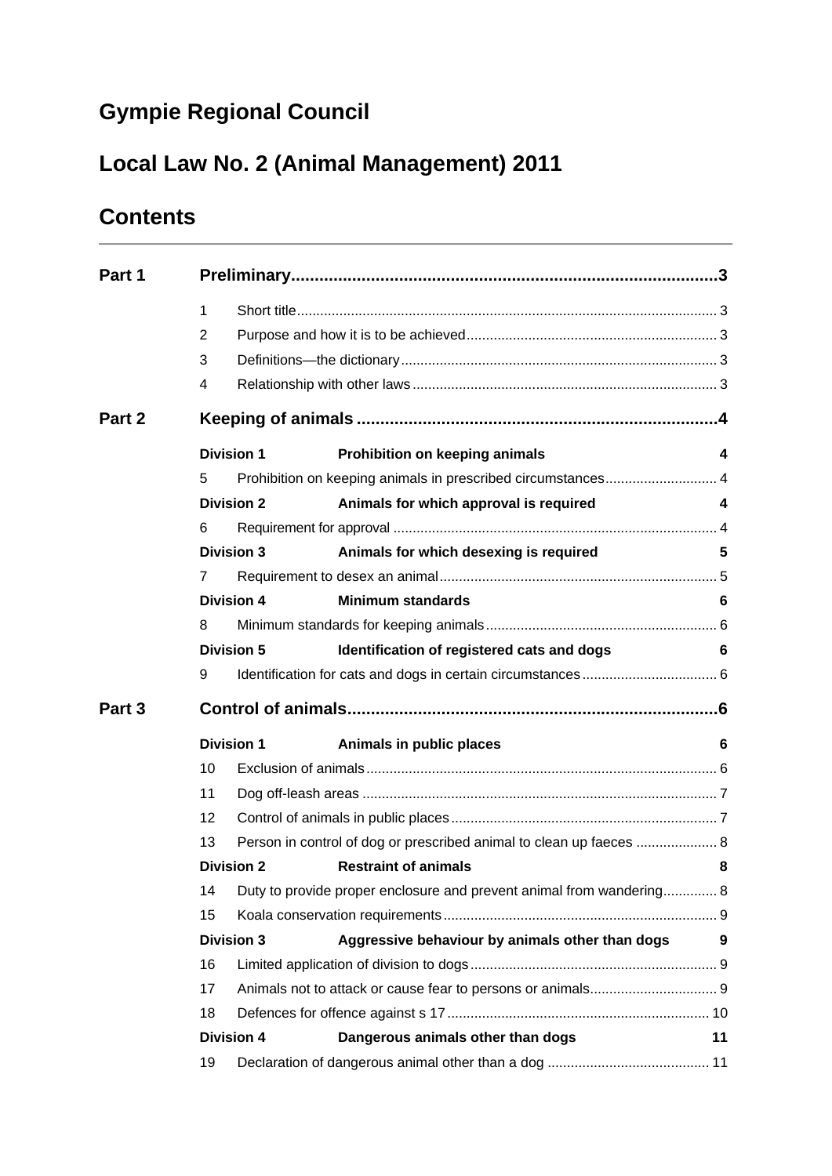# **Gympie Regional Council**

# **Local Law No. 2 (Animal Management) 2011**

# **Contents**

| Part 1 |                   |                                                                     |                                                                      |    |  |  |
|--------|-------------------|---------------------------------------------------------------------|----------------------------------------------------------------------|----|--|--|
|        | 1                 |                                                                     |                                                                      |    |  |  |
|        | $\overline{2}$    |                                                                     |                                                                      |    |  |  |
|        | 3                 |                                                                     |                                                                      |    |  |  |
|        | 4                 |                                                                     |                                                                      |    |  |  |
| Part 2 |                   |                                                                     |                                                                      |    |  |  |
|        |                   | <b>Division 1</b>                                                   | <b>Prohibition on keeping animals</b>                                | 4  |  |  |
|        | 5                 |                                                                     | Prohibition on keeping animals in prescribed circumstances 4         |    |  |  |
|        |                   | <b>Division 2</b>                                                   | Animals for which approval is required                               | 4  |  |  |
|        | 6                 |                                                                     |                                                                      |    |  |  |
|        |                   | <b>Division 3</b>                                                   | Animals for which desexing is required                               | 5  |  |  |
|        | $\overline{7}$    |                                                                     |                                                                      |    |  |  |
|        |                   | <b>Division 4</b>                                                   | <b>Minimum standards</b>                                             | 6  |  |  |
|        | 8                 |                                                                     |                                                                      |    |  |  |
|        | <b>Division 5</b> |                                                                     | Identification of registered cats and dogs                           | 6  |  |  |
|        | 9                 |                                                                     |                                                                      |    |  |  |
| Part 3 |                   |                                                                     |                                                                      |    |  |  |
|        |                   | <b>Division 1</b>                                                   | Animals in public places                                             | 6  |  |  |
|        | 10                |                                                                     |                                                                      |    |  |  |
|        | 11                |                                                                     |                                                                      |    |  |  |
|        | $12 \overline{ }$ |                                                                     |                                                                      |    |  |  |
|        | 13                | Person in control of dog or prescribed animal to clean up faeces  8 |                                                                      |    |  |  |
|        |                   | <b>Division 2</b>                                                   | <b>Restraint of animals</b>                                          | 8  |  |  |
|        | 14                |                                                                     | Duty to provide proper enclosure and prevent animal from wandering 8 |    |  |  |
|        | 15                |                                                                     |                                                                      |    |  |  |
|        |                   | <b>Division 3</b>                                                   | Aggressive behaviour by animals other than dogs                      | 9  |  |  |
|        | 16                |                                                                     |                                                                      |    |  |  |
|        | 17                |                                                                     |                                                                      |    |  |  |
|        | 18                |                                                                     |                                                                      |    |  |  |
|        |                   | <b>Division 4</b>                                                   | Dangerous animals other than dogs                                    | 11 |  |  |
|        | 19                |                                                                     |                                                                      |    |  |  |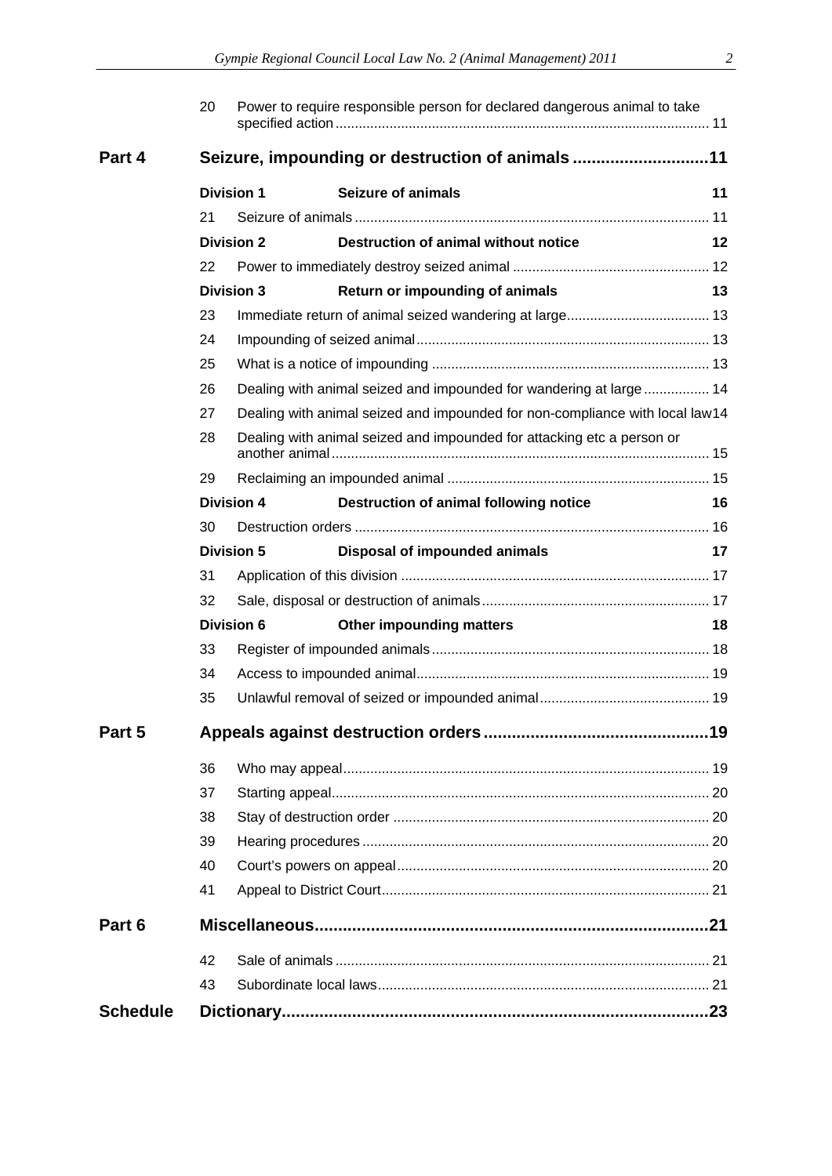|                 | 20                                               | Power to require responsible person for declared dangerous animal to take    |                                                                        |    |  |  |
|-----------------|--------------------------------------------------|------------------------------------------------------------------------------|------------------------------------------------------------------------|----|--|--|
| Part 4          | Seizure, impounding or destruction of animals 11 |                                                                              |                                                                        |    |  |  |
|                 |                                                  | <b>Division 1</b>                                                            | <b>Seizure of animals</b>                                              | 11 |  |  |
|                 | 21                                               |                                                                              |                                                                        |    |  |  |
|                 |                                                  | <b>Division 2</b>                                                            | <b>Destruction of animal without notice</b>                            | 12 |  |  |
|                 | 22                                               |                                                                              |                                                                        |    |  |  |
|                 |                                                  | <b>Division 3</b>                                                            | Return or impounding of animals                                        | 13 |  |  |
|                 | 23                                               |                                                                              |                                                                        |    |  |  |
|                 | 24                                               |                                                                              |                                                                        |    |  |  |
|                 | 25                                               |                                                                              |                                                                        |    |  |  |
|                 | 26                                               | Dealing with animal seized and impounded for wandering at large 14           |                                                                        |    |  |  |
|                 | 27                                               | Dealing with animal seized and impounded for non-compliance with local law14 |                                                                        |    |  |  |
|                 | 28                                               |                                                                              | Dealing with animal seized and impounded for attacking etc a person or |    |  |  |
|                 | 29                                               |                                                                              |                                                                        |    |  |  |
|                 |                                                  | <b>Division 4</b>                                                            | Destruction of animal following notice                                 | 16 |  |  |
|                 | 30                                               |                                                                              |                                                                        |    |  |  |
|                 |                                                  | <b>Division 5</b>                                                            | Disposal of impounded animals                                          | 17 |  |  |
|                 | 31                                               |                                                                              |                                                                        |    |  |  |
|                 | 32                                               |                                                                              |                                                                        |    |  |  |
|                 |                                                  | <b>Division 6</b>                                                            | <b>Other impounding matters</b>                                        | 18 |  |  |
|                 | 33                                               |                                                                              |                                                                        |    |  |  |
|                 | 34                                               |                                                                              |                                                                        |    |  |  |
|                 | 35                                               |                                                                              |                                                                        |    |  |  |
| Part 5          |                                                  |                                                                              |                                                                        |    |  |  |
|                 | 36                                               |                                                                              |                                                                        |    |  |  |
|                 | 37                                               |                                                                              |                                                                        |    |  |  |
|                 | 38                                               |                                                                              |                                                                        |    |  |  |
|                 | 39                                               |                                                                              |                                                                        |    |  |  |
|                 | 40                                               |                                                                              |                                                                        |    |  |  |
|                 | 41                                               |                                                                              |                                                                        |    |  |  |
| Part 6          |                                                  |                                                                              |                                                                        |    |  |  |
|                 | 42                                               |                                                                              |                                                                        |    |  |  |
|                 | 43                                               |                                                                              |                                                                        |    |  |  |
| <b>Schedule</b> |                                                  |                                                                              |                                                                        |    |  |  |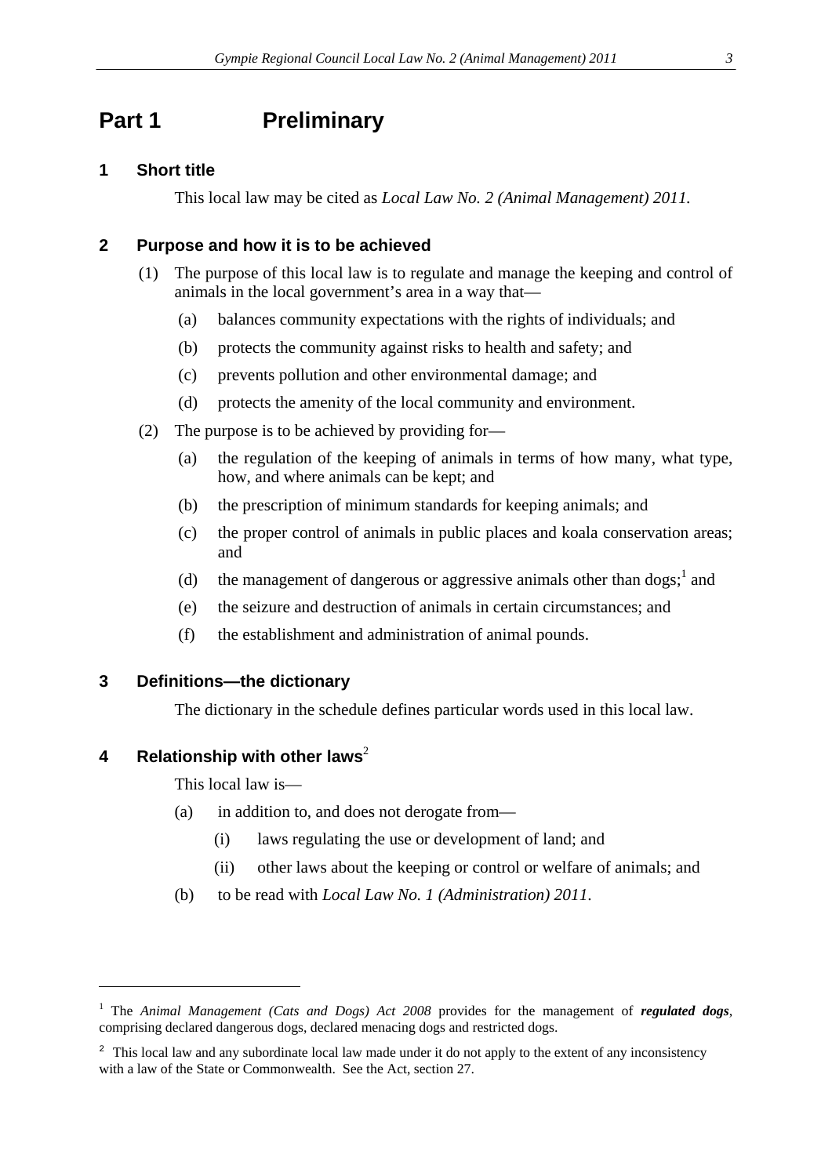## <span id="page-2-0"></span>**Part 1 Preliminary**

### <span id="page-2-1"></span>**1 Short title**

This local law may be cited as *Local Law No. 2 (Animal Management) 2011.*

### <span id="page-2-2"></span>**2 Purpose and how it is to be achieved**

- (1) The purpose of this local law is to regulate and manage the keeping and control of animals in the local government's area in a way that—
	- (a) balances community expectations with the rights of individuals; and
	- (b) protects the community against risks to health and safety; and
	- (c) prevents pollution and other environmental damage; and
	- (d) protects the amenity of the local community and environment.
- (2) The purpose is to be achieved by providing for—
	- (a) the regulation of the keeping of animals in terms of how many, what type, how, and where animals can be kept; and
	- (b) the prescription of minimum standards for keeping animals; and
	- (c) the proper control of animals in public places and koala conservation areas; and
	- (d) the management of dangerous or aggressive animals other than  $\text{dogs}^{1}$  and
	- (e) the seizure and destruction of animals in certain circumstances; and
	- (f) the establishment and administration of animal pounds.

### <span id="page-2-3"></span>**3 Definitions—the dictionary**

The dictionary in the schedule defines particular words used in this local law.

### <span id="page-2-4"></span>**4 Relationship with other laws**<sup>2</sup>

This local law is—

<u>.</u>

- (a) in addition to, and does not derogate from—
	- (i) laws regulating the use or development of land; and
	- (ii) other laws about the keeping or control or welfare of animals; and
- (b) to be read with *Local Law No. 1 (Administration) 2011*.

<sup>1</sup> The *Animal Management (Cats and Dogs) Act 2008* provides for the management of *regulated dogs*, comprising declared dangerous dogs, declared menacing dogs and restricted dogs.

<sup>&</sup>lt;sup>2</sup> This local law and any subordinate local law made under it do not apply to the extent of any inconsistency with a law of the State or Commonwealth. See the Act, section 27.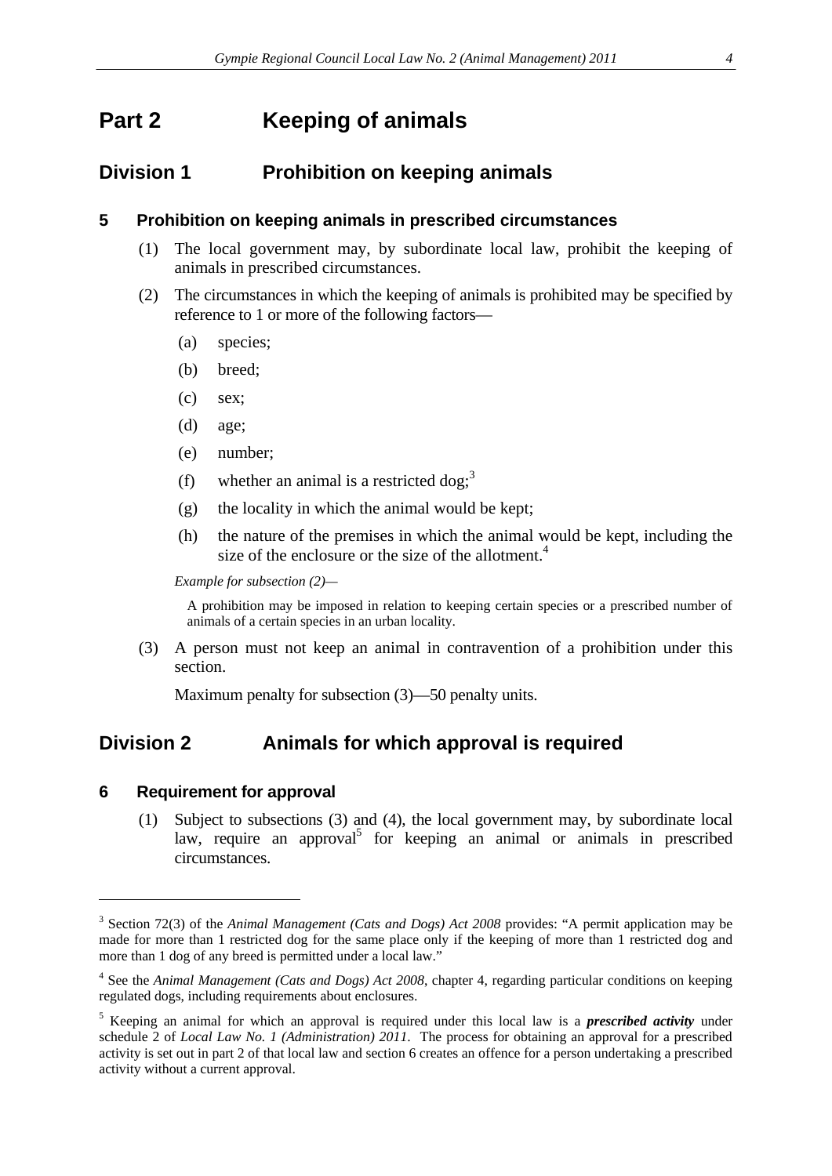## <span id="page-3-0"></span>**Part 2 Keeping of animals**

## <span id="page-3-1"></span>**Division 1 Prohibition on keeping animals**

#### <span id="page-3-2"></span>**5 Prohibition on keeping animals in prescribed circumstances**

- (1) The local government may, by subordinate local law, prohibit the keeping of animals in prescribed circumstances.
- (2) The circumstances in which the keeping of animals is prohibited may be specified by reference to 1 or more of the following factors—
	- (a) species;
	- (b) breed;
	- (c) sex;
	- (d) age;
	- (e) number;
	- (f) whether an animal is a restricted dog;<sup>3</sup>
	- (g) the locality in which the animal would be kept;
	- (h) the nature of the premises in which the animal would be kept, including the size of the enclosure or the size of the allotment.<sup>4</sup>

*Example for subsection (2)—*

A prohibition may be imposed in relation to keeping certain species or a prescribed number of animals of a certain species in an urban locality.

(3) A person must not keep an animal in contravention of a prohibition under this section.

Maximum penalty for subsection (3)—50 penalty units.

## <span id="page-3-3"></span>**Division 2 Animals for which approval is required**

#### <span id="page-3-4"></span>**6 Requirement for approval**

<u>.</u>

(1) Subject to subsections (3) and (4), the local government may, by subordinate local law, require an approval<sup>5</sup> for keeping an animal or animals in prescribed circumstances.

<sup>3</sup> Section 72(3) of the *Animal Management (Cats and Dogs) Act 2008* provides: "A permit application may be made for more than 1 restricted dog for the same place only if the keeping of more than 1 restricted dog and more than 1 dog of any breed is permitted under a local law."

<sup>4</sup> See the *Animal Management (Cats and Dogs) Act 2008*, chapter 4, regarding particular conditions on keeping regulated dogs, including requirements about enclosures.

<sup>5</sup> Keeping an animal for which an approval is required under this local law is a *prescribed activity* under schedule 2 of *Local Law No. 1 (Administration) 2011*. The process for obtaining an approval for a prescribed activity is set out in part 2 of that local law and section 6 creates an offence for a person undertaking a prescribed activity without a current approval.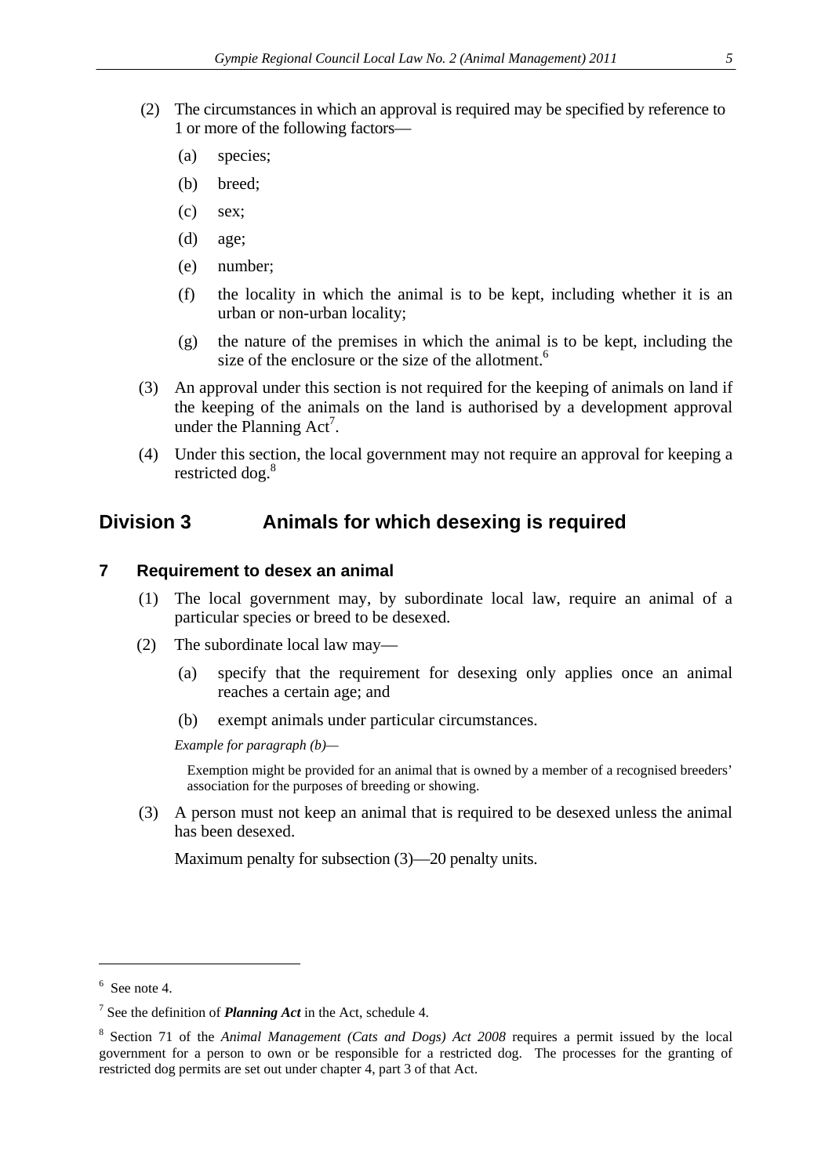- (2) The circumstances in which an approval is required may be specified by reference to 1 or more of the following factors—
	- (a) species;
	- (b) breed;
	- (c) sex;
	- (d) age;
	- (e) number;
	- (f) the locality in which the animal is to be kept, including whether it is an urban or non-urban locality;
	- (g) the nature of the premises in which the animal is to be kept, including the size of the enclosure or the size of the allotment.<sup>6</sup>
- (3) An approval under this section is not required for the keeping of animals on land if the keeping of the animals on the land is authorised by a development approval under the Planning  $Act^7$ .
- (4) Under this section, the local government may not require an approval for keeping a restricted dog.<sup>8</sup>

## <span id="page-4-0"></span>**Division 3 Animals for which desexing is required**

#### <span id="page-4-1"></span>**7 Requirement to desex an animal**

- (1) The local government may, by subordinate local law, require an animal of a particular species or breed to be desexed.
- (2) The subordinate local law may—
	- (a) specify that the requirement for desexing only applies once an animal reaches a certain age; and
	- (b) exempt animals under particular circumstances.

*Example for paragraph (b)—*

Exemption might be provided for an animal that is owned by a member of a recognised breeders' association for the purposes of breeding or showing.

(3) A person must not keep an animal that is required to be desexed unless the animal has been desexed.

Maximum penalty for subsection (3)—20 penalty units.

<u>.</u>

<sup>6</sup> See note 4.

<sup>7</sup> See the definition of *Planning Act* in the Act, schedule 4.

<sup>8</sup> Section 71 of the *Animal Management (Cats and Dogs) Act 2008* requires a permit issued by the local government for a person to own or be responsible for a restricted dog. The processes for the granting of restricted dog permits are set out under chapter 4, part 3 of that Act.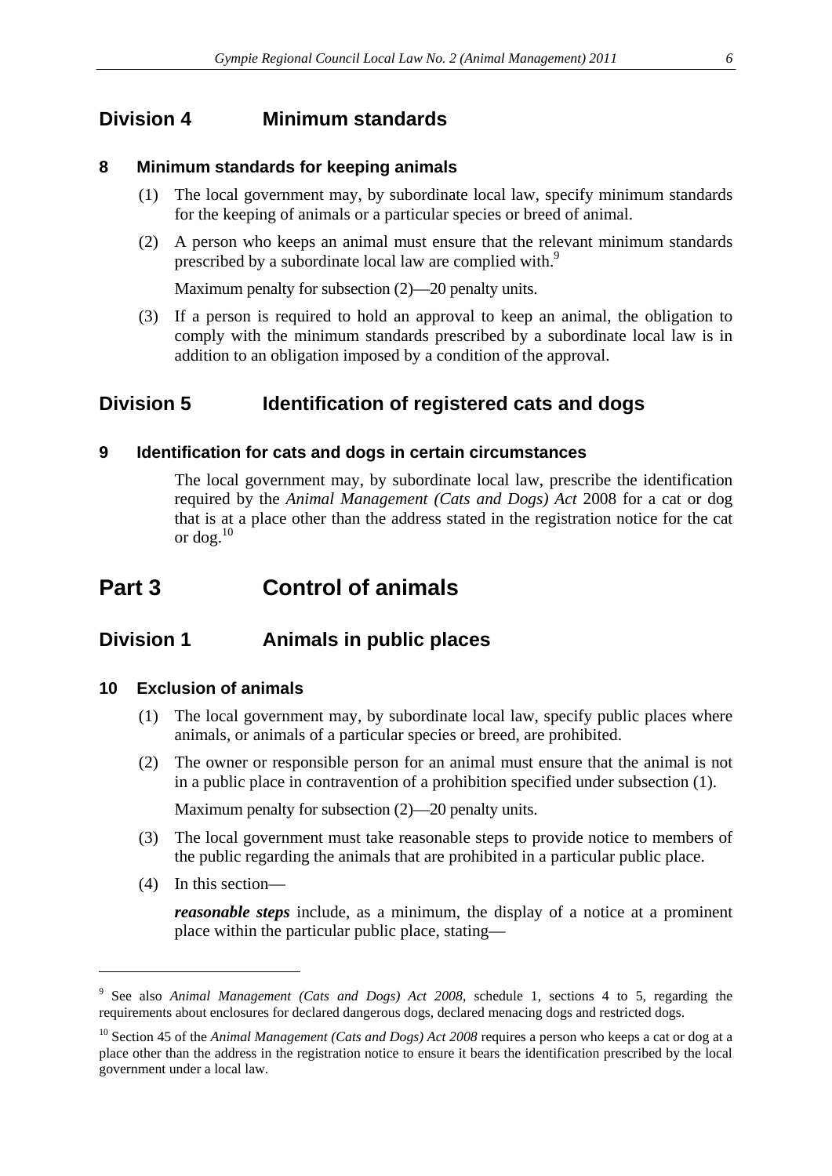## <span id="page-5-0"></span>**Division 4 Minimum standards**

#### <span id="page-5-1"></span>**8 Minimum standards for keeping animals**

- (1) The local government may, by subordinate local law, specify minimum standards for the keeping of animals or a particular species or breed of animal.
- (2) A person who keeps an animal must ensure that the relevant minimum standards prescribed by a subordinate local law are complied with.<sup>9</sup>

Maximum penalty for subsection (2)—20 penalty units.

(3) If a person is required to hold an approval to keep an animal, the obligation to comply with the minimum standards prescribed by a subordinate local law is in addition to an obligation imposed by a condition of the approval.

## <span id="page-5-2"></span>**Division 5 Identification of registered cats and dogs**

### <span id="page-5-3"></span>**9 Identification for cats and dogs in certain circumstances**

The local government may, by subordinate local law, prescribe the identification required by the *Animal Management (Cats and Dogs) Act* 2008 for a cat or dog that is at a place other than the address stated in the registration notice for the cat or dog. $^{10}$ 

## <span id="page-5-4"></span>**Part 3 Control of animals**

## <span id="page-5-5"></span>**Division 1 Animals in public places**

#### <span id="page-5-6"></span>**10 Exclusion of animals**

- (1) The local government may, by subordinate local law, specify public places where animals, or animals of a particular species or breed, are prohibited.
- (2) The owner or responsible person for an animal must ensure that the animal is not in a public place in contravention of a prohibition specified under subsection (1).

Maximum penalty for subsection (2)—20 penalty units.

- (3) The local government must take reasonable steps to provide notice to members of the public regarding the animals that are prohibited in a particular public place.
- (4) In this section—

<u>.</u>

*reasonable steps* include, as a minimum, the display of a notice at a prominent place within the particular public place, stating—

<sup>9</sup> See also *Animal Management (Cats and Dogs) Act 2008*, schedule 1, sections 4 to 5, regarding the requirements about enclosures for declared dangerous dogs, declared menacing dogs and restricted dogs.

<sup>&</sup>lt;sup>10</sup> Section 45 of the *Animal Management (Cats and Dogs) Act 2008* requires a person who keeps a cat or dog at a place other than the address in the registration notice to ensure it bears the identification prescribed by the local government under a local law.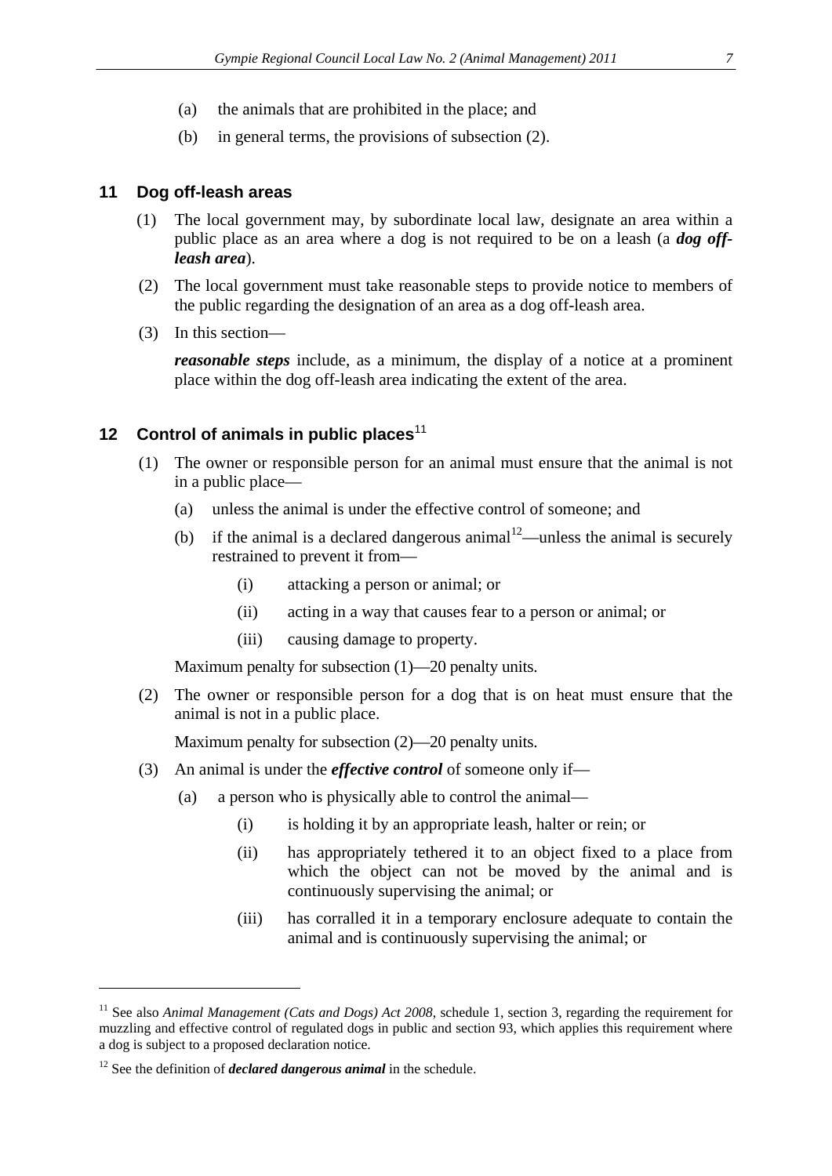- (a) the animals that are prohibited in the place; and
- (b) in general terms, the provisions of subsection (2).

#### <span id="page-6-0"></span>**11 Dog off-leash areas**

- (1) The local government may, by subordinate local law, designate an area within a public place as an area where a dog is not required to be on a leash (a *dog offleash area*).
- (2) The local government must take reasonable steps to provide notice to members of the public regarding the designation of an area as a dog off-leash area.
- (3) In this section—

*reasonable steps* include, as a minimum, the display of a notice at a prominent place within the dog off-leash area indicating the extent of the area.

## <span id="page-6-1"></span>**12 Control of animals in public places**<sup>11</sup>

- (1) The owner or responsible person for an animal must ensure that the animal is not in a public place—
	- (a) unless the animal is under the effective control of someone; and
	- (b) if the animal is a declared dangerous animal<sup>12</sup>—unless the animal is securely restrained to prevent it from—
		- (i) attacking a person or animal; or
		- (ii) acting in a way that causes fear to a person or animal; or
		- (iii) causing damage to property.

Maximum penalty for subsection  $(1)$ —20 penalty units.

(2) The owner or responsible person for a dog that is on heat must ensure that the animal is not in a public place.

Maximum penalty for subsection (2)—20 penalty units.

- (3) An animal is under the *effective control* of someone only if—
	- (a) a person who is physically able to control the animal—
		- (i) is holding it by an appropriate leash, halter or rein; or
		- (ii) has appropriately tethered it to an object fixed to a place from which the object can not be moved by the animal and is continuously supervising the animal; or
		- (iii) has corralled it in a temporary enclosure adequate to contain the animal and is continuously supervising the animal; or

<sup>&</sup>lt;sup>11</sup> See also *Animal Management (Cats and Dogs) Act 2008*, schedule 1, section 3, regarding the requirement for muzzling and effective control of regulated dogs in public and section 93, which applies this requirement where a dog is subject to a proposed declaration notice.

<sup>&</sup>lt;sup>12</sup> See the definition of *declared dangerous animal* in the schedule.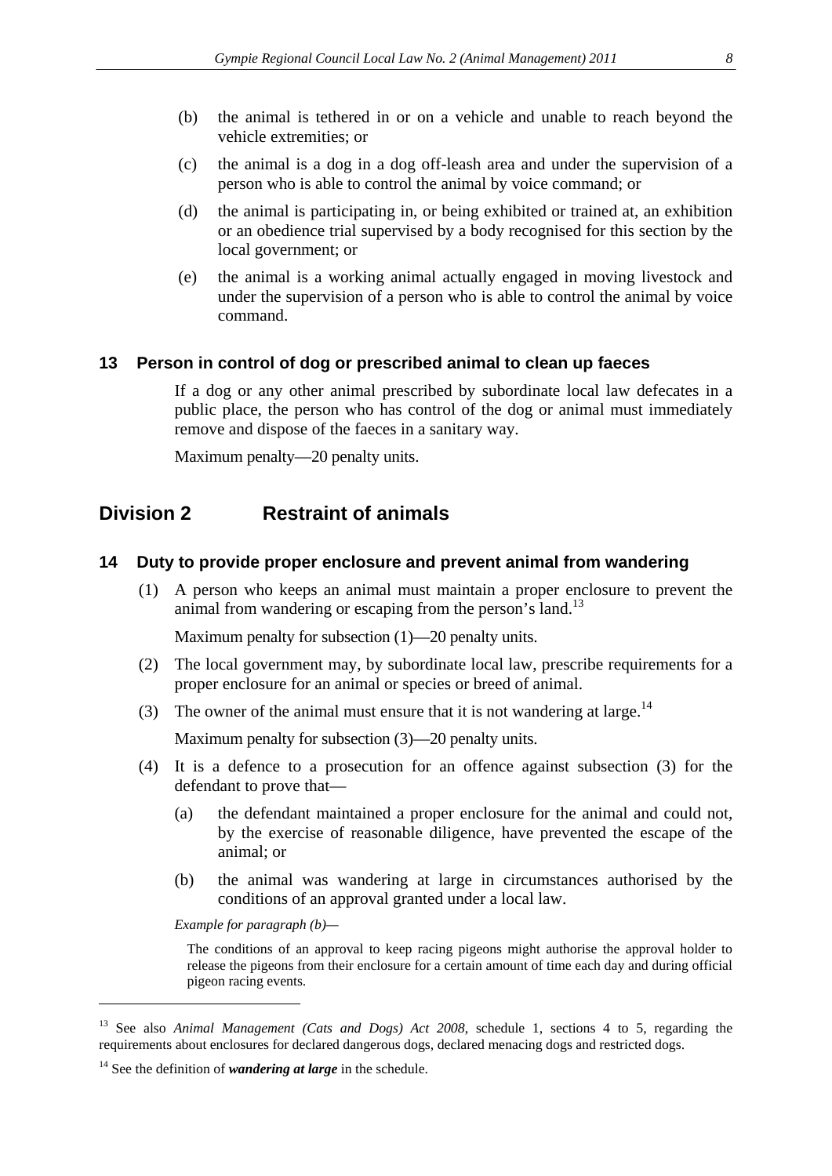- (b) the animal is tethered in or on a vehicle and unable to reach beyond the vehicle extremities; or
- (c) the animal is a dog in a dog off-leash area and under the supervision of a person who is able to control the animal by voice command; or
- (d) the animal is participating in, or being exhibited or trained at, an exhibition or an obedience trial supervised by a body recognised for this section by the local government; or
- (e) the animal is a working animal actually engaged in moving livestock and under the supervision of a person who is able to control the animal by voice command.

### <span id="page-7-0"></span>**13 Person in control of dog or prescribed animal to clean up faeces**

If a dog or any other animal prescribed by subordinate local law defecates in a public place, the person who has control of the dog or animal must immediately remove and dispose of the faeces in a sanitary way.

Maximum penalty—20 penalty units.

## <span id="page-7-1"></span>**Division 2 Restraint of animals**

### <span id="page-7-2"></span>**14 Duty to provide proper enclosure and prevent animal from wandering**

(1) A person who keeps an animal must maintain a proper enclosure to prevent the animal from wandering or escaping from the person's land.<sup>13</sup>

Maximum penalty for subsection (1)—20 penalty units.

- (2) The local government may, by subordinate local law, prescribe requirements for a proper enclosure for an animal or species or breed of animal.
- (3) The owner of the animal must ensure that it is not wandering at large.<sup>14</sup>

Maximum penalty for subsection (3)—20 penalty units.

- (4) It is a defence to a prosecution for an offence against subsection (3) for the defendant to prove that—
	- (a) the defendant maintained a proper enclosure for the animal and could not, by the exercise of reasonable diligence, have prevented the escape of the animal; or
	- (b) the animal was wandering at large in circumstances authorised by the conditions of an approval granted under a local law.

*Example for paragraph (b)—*

<u>.</u>

The conditions of an approval to keep racing pigeons might authorise the approval holder to release the pigeons from their enclosure for a certain amount of time each day and during official pigeon racing events.

<sup>13</sup> See also *Animal Management (Cats and Dogs) Act 2008*, schedule 1, sections 4 to 5, regarding the requirements about enclosures for declared dangerous dogs, declared menacing dogs and restricted dogs.

<sup>&</sup>lt;sup>14</sup> See the definition of *wandering at large* in the schedule.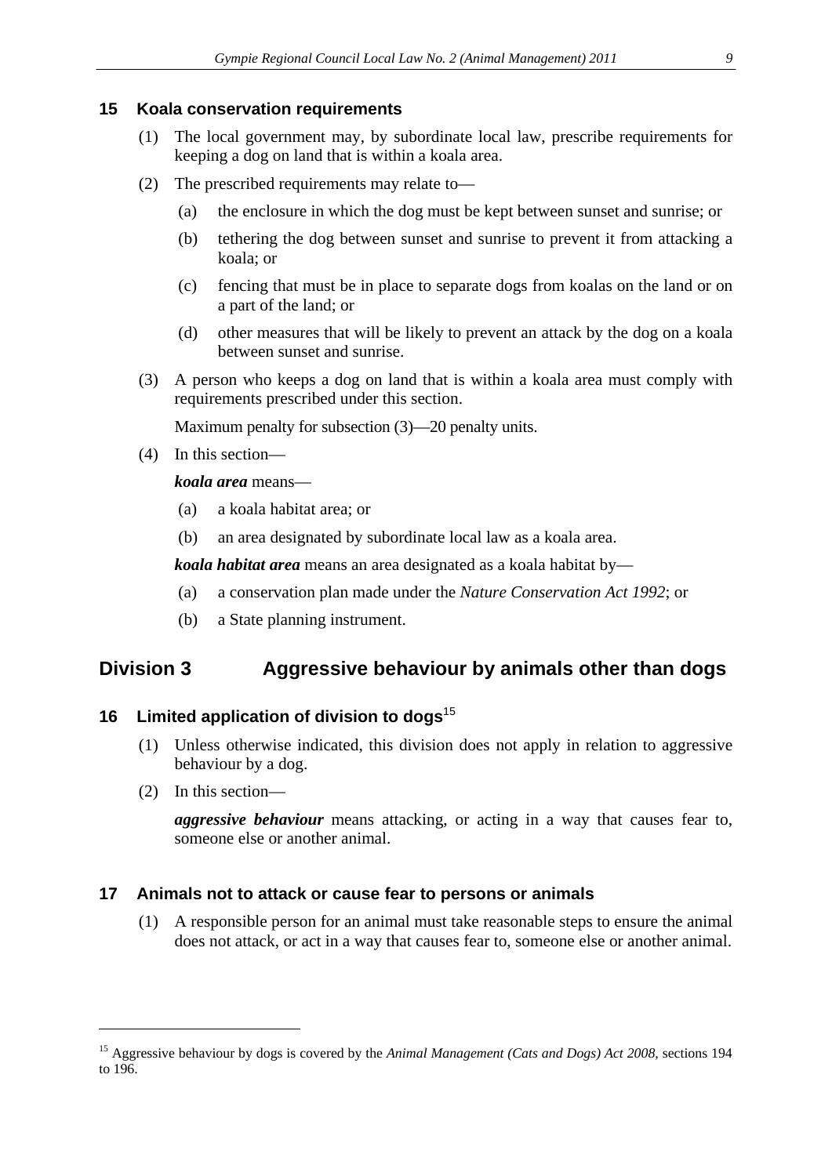### <span id="page-8-0"></span>**15 Koala conservation requirements**

- (1) The local government may, by subordinate local law, prescribe requirements for keeping a dog on land that is within a koala area.
- (2) The prescribed requirements may relate to—
	- (a) the enclosure in which the dog must be kept between sunset and sunrise; or
	- (b) tethering the dog between sunset and sunrise to prevent it from attacking a koala; or
	- (c) fencing that must be in place to separate dogs from koalas on the land or on a part of the land; or
	- (d) other measures that will be likely to prevent an attack by the dog on a koala between sunset and sunrise.
- (3) A person who keeps a dog on land that is within a koala area must comply with requirements prescribed under this section.

Maximum penalty for subsection (3)—20 penalty units.

(4) In this section—

#### *koala area* means—

- (a) a koala habitat area; or
- (b) an area designated by subordinate local law as a koala area.

*koala habitat area* means an area designated as a koala habitat by—

- (a) a conservation plan made under the *Nature Conservation Act 1992*; or
- (b) a State planning instrument.

## <span id="page-8-1"></span>**Division 3 Aggressive behaviour by animals other than dogs**

## <span id="page-8-2"></span>**16 Limited application of division to dogs**<sup>15</sup>

- (1) Unless otherwise indicated, this division does not apply in relation to aggressive behaviour by a dog.
- (2) In this section—

<u>.</u>

*aggressive behaviour* means attacking, or acting in a way that causes fear to, someone else or another animal.

### <span id="page-8-3"></span>**17 Animals not to attack or cause fear to persons or animals**

(1) A responsible person for an animal must take reasonable steps to ensure the animal does not attack, or act in a way that causes fear to, someone else or another animal.

<sup>15</sup> Aggressive behaviour by dogs is covered by the *Animal Management (Cats and Dogs) Act 2008,* sections 194 to 196.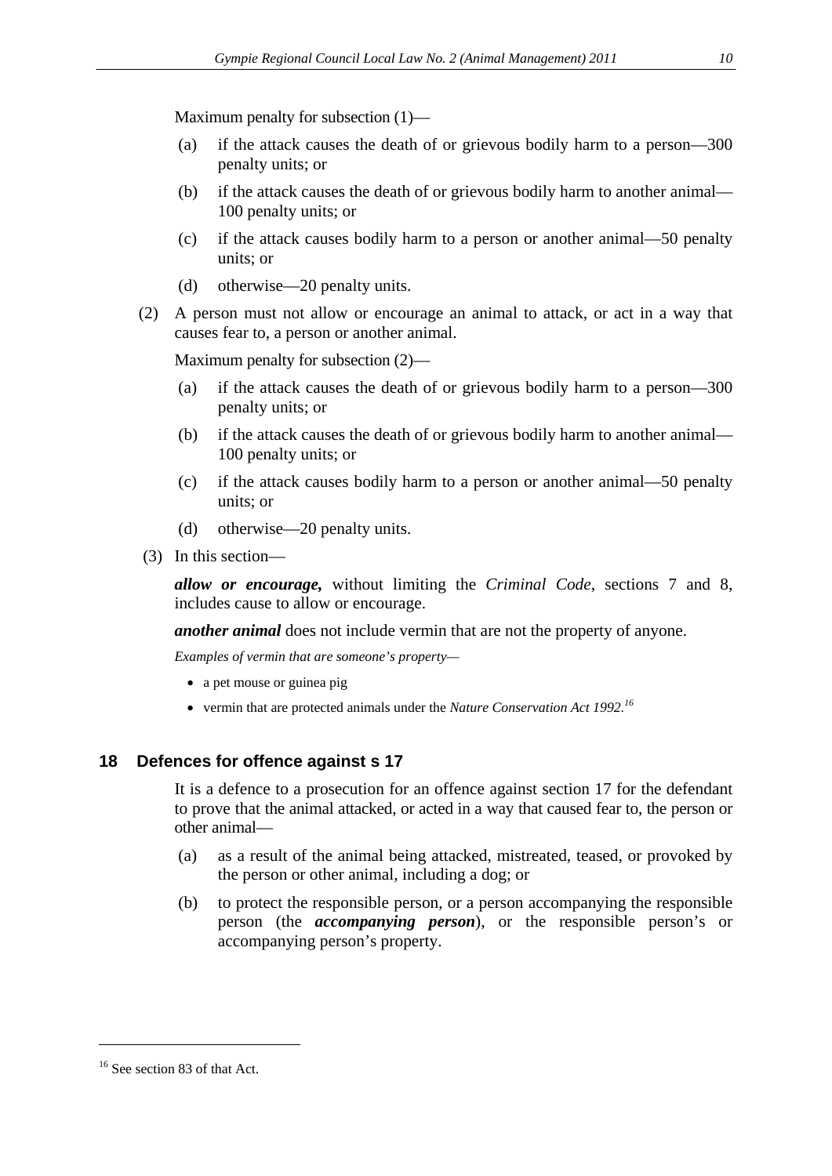Maximum penalty for subsection (1)—

- (a) if the attack causes the death of or grievous bodily harm to a person—300 penalty units; or
- (b) if the attack causes the death of or grievous bodily harm to another animal— 100 penalty units; or
- (c) if the attack causes bodily harm to a person or another animal—50 penalty units; or
- (d) otherwise—20 penalty units.
- (2) A person must not allow or encourage an animal to attack, or act in a way that causes fear to, a person or another animal.

Maximum penalty for subsection (2)—

- (a) if the attack causes the death of or grievous bodily harm to a person—300 penalty units; or
- (b) if the attack causes the death of or grievous bodily harm to another animal— 100 penalty units; or
- (c) if the attack causes bodily harm to a person or another animal—50 penalty units; or
- (d) otherwise—20 penalty units.
- (3) In this section—

*allow or encourage,* without limiting the *Criminal Code*, sections 7 and 8, includes cause to allow or encourage.

*another animal* does not include vermin that are not the property of anyone.

*Examples of vermin that are someone's property—*

- a pet mouse or guinea pig
- vermin that are protected animals under the *Nature Conservation Act 1992.16*

### <span id="page-9-0"></span>**18 Defences for offence against s 17**

It is a defence to a prosecution for an offence against section 17 for the defendant to prove that the animal attacked, or acted in a way that caused fear to, the person or other animal—

- (a) as a result of the animal being attacked, mistreated, teased, or provoked by the person or other animal, including a dog; or
- (b) to protect the responsible person, or a person accompanying the responsible person (the *accompanying person*), or the responsible person's or accompanying person's property.

<sup>&</sup>lt;sup>16</sup> See section 83 of that Act.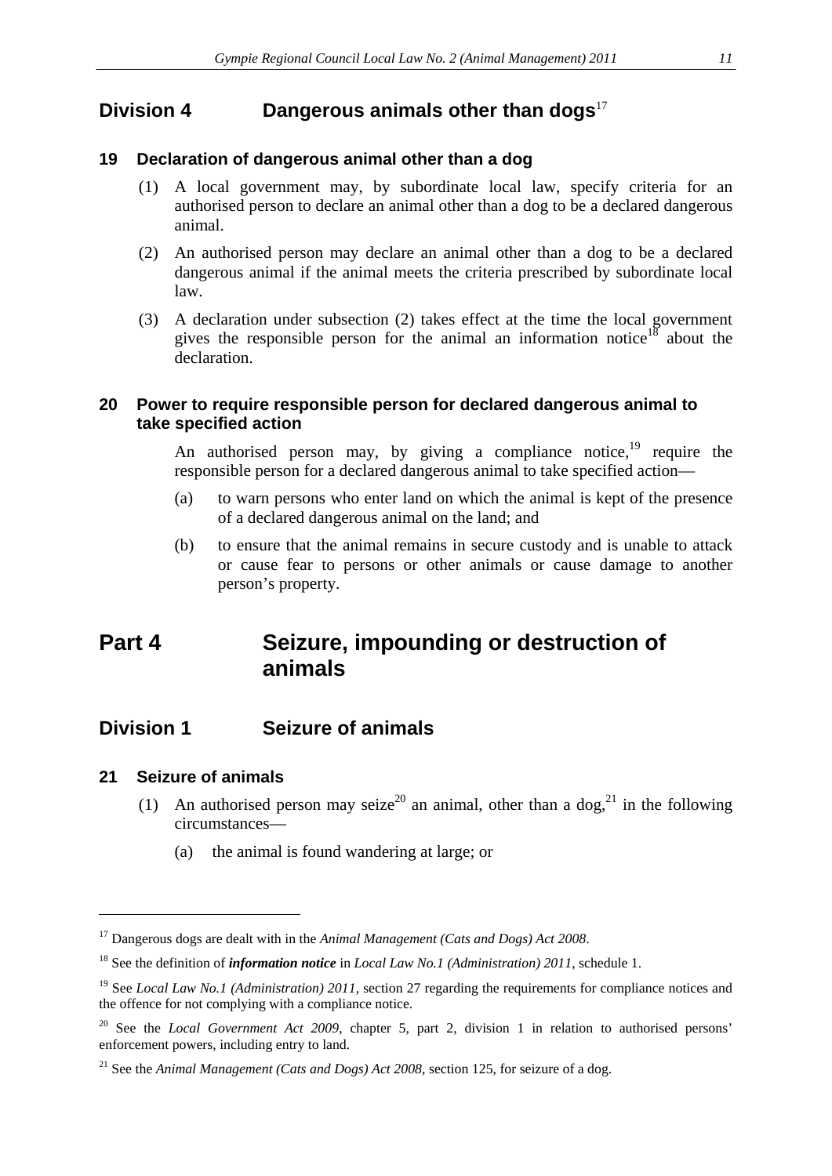## <span id="page-10-0"></span>**Division 4 Dangerous animals other than dogs**<sup>17</sup>

## <span id="page-10-1"></span>**19 Declaration of dangerous animal other than a dog**

- (1) A local government may, by subordinate local law, specify criteria for an authorised person to declare an animal other than a dog to be a declared dangerous animal.
- (2) An authorised person may declare an animal other than a dog to be a declared dangerous animal if the animal meets the criteria prescribed by subordinate local law.
- (3) A declaration under subsection (2) takes effect at the time the local government gives the responsible person for the animal an information notice<sup>18</sup> about the declaration.

## <span id="page-10-2"></span>**20 Power to require responsible person for declared dangerous animal to take specified action**

An authorised person may, by giving a compliance notice,  $19$  require the responsible person for a declared dangerous animal to take specified action—

- (a) to warn persons who enter land on which the animal is kept of the presence of a declared dangerous animal on the land; and
- (b) to ensure that the animal remains in secure custody and is unable to attack or cause fear to persons or other animals or cause damage to another person's property.

## <span id="page-10-3"></span>**Part 4 Seizure, impounding or destruction of animals**

## <span id="page-10-4"></span>**Division 1 Seizure of animals**

## <span id="page-10-5"></span>**21 Seizure of animals**

- (1) An authorised person may seize<sup>20</sup> an animal, other than a dog,<sup>21</sup> in the following circumstances—
	- (a) the animal is found wandering at large; or

<sup>17</sup> Dangerous dogs are dealt with in the *Animal Management (Cats and Dogs) Act 2008*.

<sup>18</sup> See the definition of *information notice* in *Local Law No.1 (Administration) 2011*, schedule 1.

<sup>19</sup> See *Local Law No.1 (Administration) 2011*, section 27 regarding the requirements for compliance notices and the offence for not complying with a compliance notice.

<sup>&</sup>lt;sup>20</sup> See the *Local Government Act 2009*, chapter 5, part 2, division 1 in relation to authorised persons' enforcement powers, including entry to land.

<sup>21</sup> See the *Animal Management (Cats and Dogs) Act 2008*, section 125, for seizure of a dog.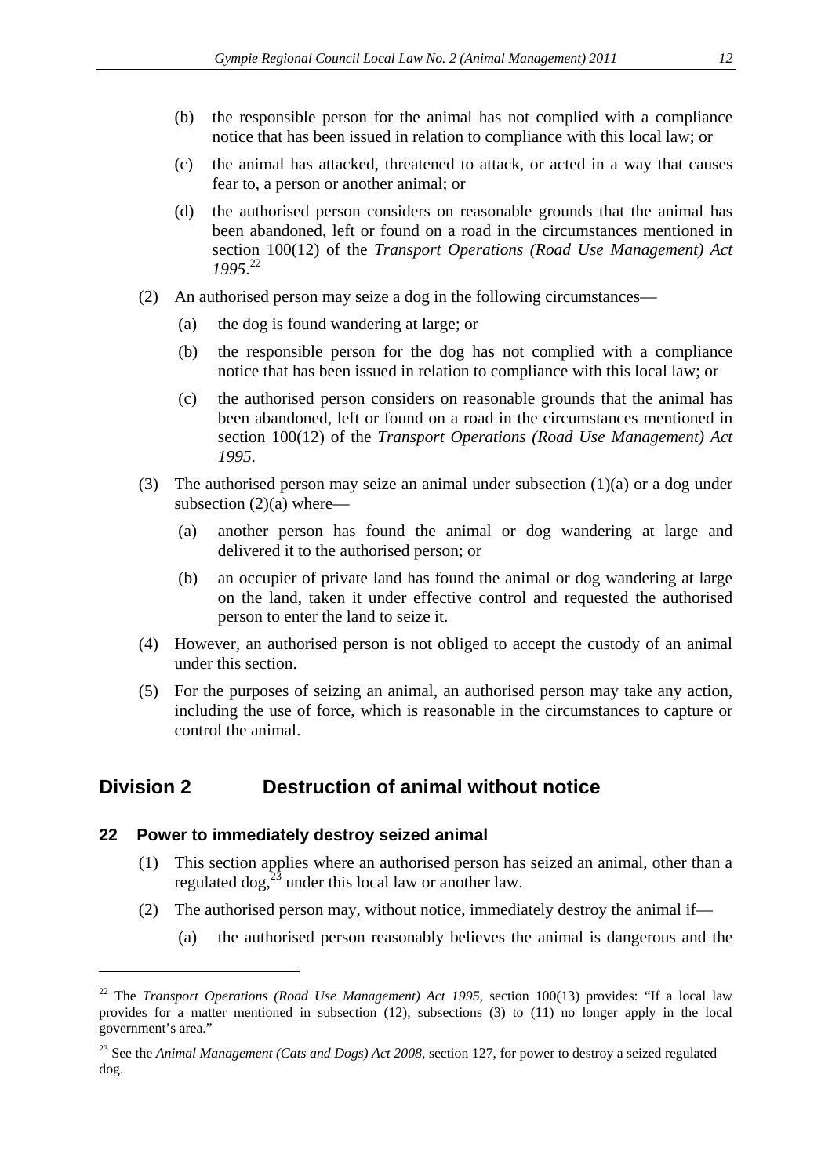- (b) the responsible person for the animal has not complied with a compliance notice that has been issued in relation to compliance with this local law; or
- (c) the animal has attacked, threatened to attack, or acted in a way that causes fear to, a person or another animal; or
- (d) the authorised person considers on reasonable grounds that the animal has been abandoned, left or found on a road in the circumstances mentioned in section 100(12) of the *Transport Operations (Road Use Management) Act 1995*. 22
- (2) An authorised person may seize a dog in the following circumstances—
	- (a) the dog is found wandering at large; or
	- (b) the responsible person for the dog has not complied with a compliance notice that has been issued in relation to compliance with this local law; or
	- (c) the authorised person considers on reasonable grounds that the animal has been abandoned, left or found on a road in the circumstances mentioned in section 100(12) of the *Transport Operations (Road Use Management) Act 1995*.
- (3) The authorised person may seize an animal under subsection (1)(a) or a dog under subsection  $(2)(a)$  where—
	- (a) another person has found the animal or dog wandering at large and delivered it to the authorised person; or
	- (b) an occupier of private land has found the animal or dog wandering at large on the land, taken it under effective control and requested the authorised person to enter the land to seize it.
- (4) However, an authorised person is not obliged to accept the custody of an animal under this section.
- (5) For the purposes of seizing an animal, an authorised person may take any action, including the use of force, which is reasonable in the circumstances to capture or control the animal.

## <span id="page-11-0"></span>**Division 2 Destruction of animal without notice**

#### <span id="page-11-1"></span>**22 Power to immediately destroy seized animal**

<u>.</u>

- (1) This section applies where an authorised person has seized an animal, other than a regulated dog,<sup>23</sup> under this local law or another law.
- (2) The authorised person may, without notice, immediately destroy the animal if—
	- (a) the authorised person reasonably believes the animal is dangerous and the

<sup>22</sup> The *Transport Operations (Road Use Management) Act 1995,* section 100(13) provides: "If a local law provides for a matter mentioned in subsection (12), subsections (3) to (11) no longer apply in the local government's area."

<sup>23</sup> See the *Animal Management (Cats and Dogs) Act 2008*, section 127, for power to destroy a seized regulated dog.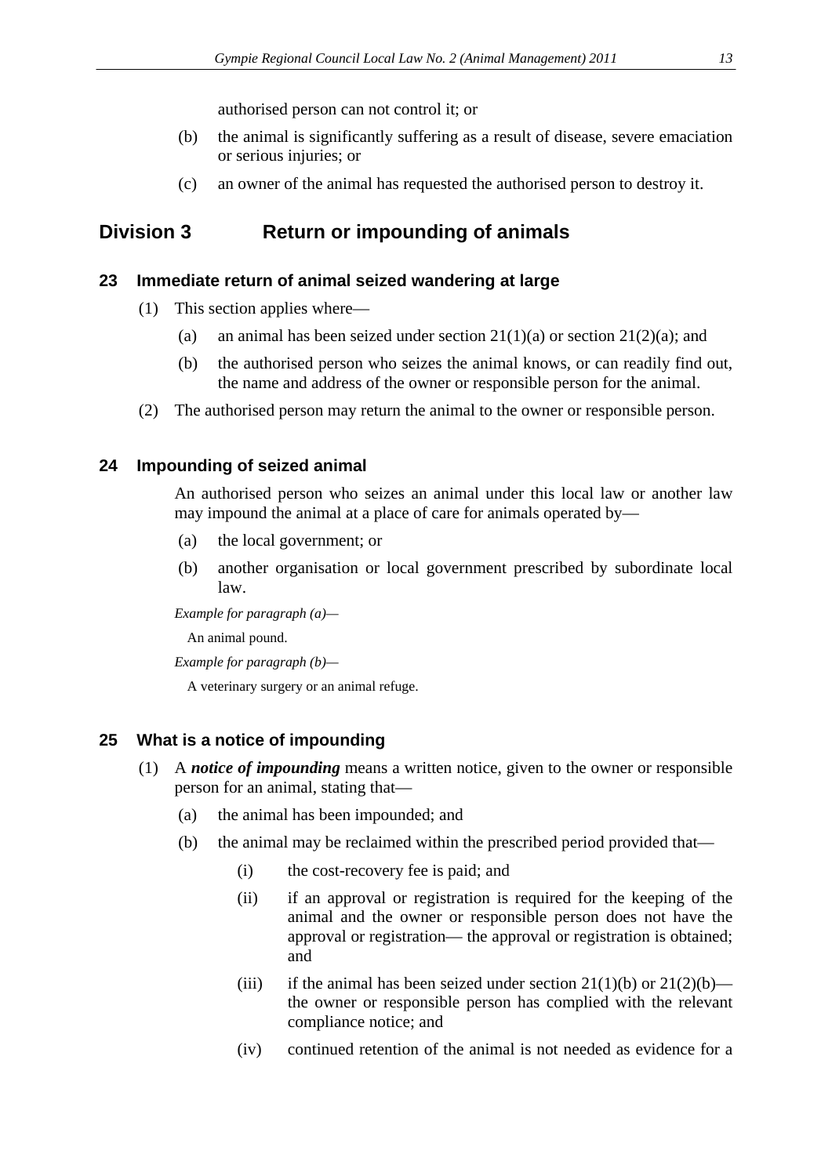authorised person can not control it; or

- (b) the animal is significantly suffering as a result of disease, severe emaciation or serious injuries; or
- (c) an owner of the animal has requested the authorised person to destroy it.

## <span id="page-12-0"></span>**Division 3 Return or impounding of animals**

### <span id="page-12-1"></span>**23 Immediate return of animal seized wandering at large**

- (1) This section applies where—
	- (a) an animal has been seized under section  $21(1)(a)$  or section  $21(2)(a)$ ; and
	- (b) the authorised person who seizes the animal knows, or can readily find out, the name and address of the owner or responsible person for the animal.
- (2) The authorised person may return the animal to the owner or responsible person.

## <span id="page-12-2"></span>**24 Impounding of seized animal**

An authorised person who seizes an animal under this local law or another law may impound the animal at a place of care for animals operated by—

- (a) the local government; or
- (b) another organisation or local government prescribed by subordinate local law.

*Example for paragraph (a)—*

An animal pound.

*Example for paragraph (b)—*

A veterinary surgery or an animal refuge.

### <span id="page-12-3"></span>**25 What is a notice of impounding**

- (1) A *notice of impounding* means a written notice, given to the owner or responsible person for an animal, stating that—
	- (a) the animal has been impounded; and
	- (b) the animal may be reclaimed within the prescribed period provided that—
		- (i) the cost-recovery fee is paid; and
		- (ii) if an approval or registration is required for the keeping of the animal and the owner or responsible person does not have the approval or registration— the approval or registration is obtained; and
		- (iii) if the animal has been seized under section  $21(1)(b)$  or  $21(2)(b)$  the owner or responsible person has complied with the relevant compliance notice; and
		- (iv) continued retention of the animal is not needed as evidence for a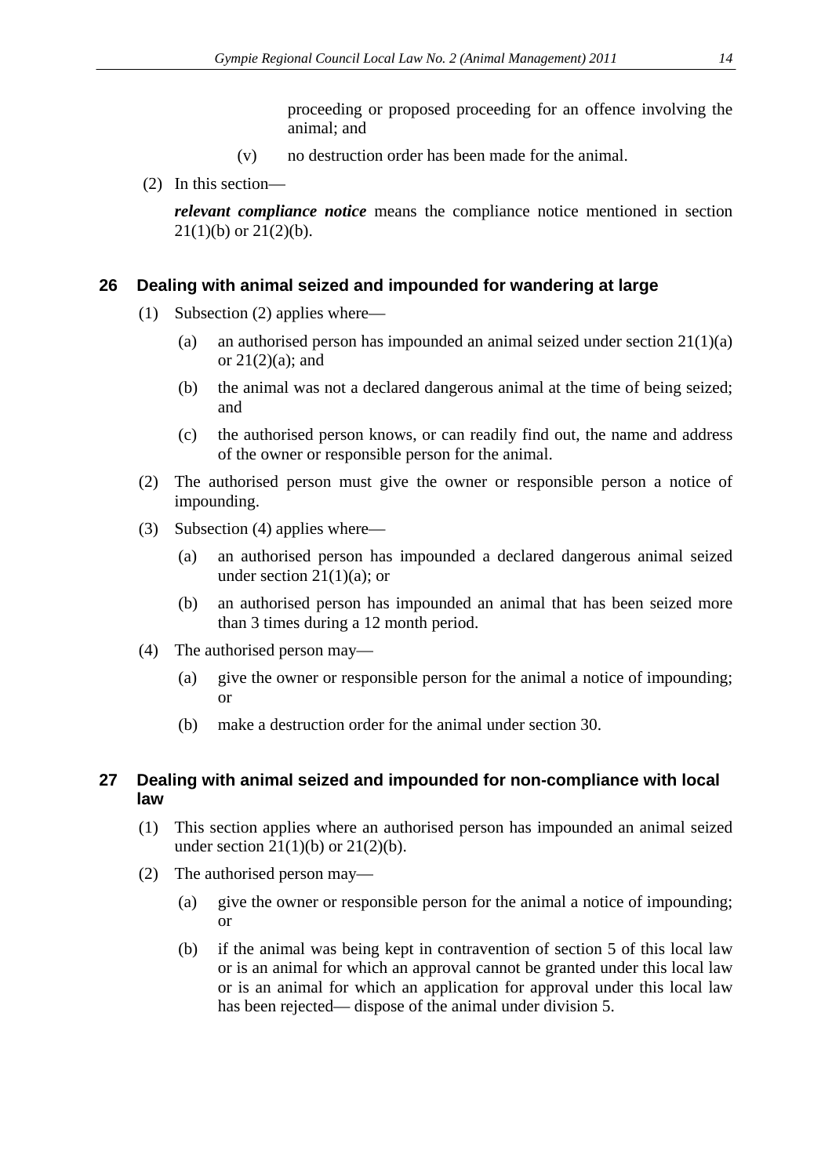proceeding or proposed proceeding for an offence involving the animal; and

- (v) no destruction order has been made for the animal.
- (2) In this section—

*relevant compliance notice* means the compliance notice mentioned in section 21(1)(b) or 21(2)(b).

### <span id="page-13-0"></span>**26 Dealing with animal seized and impounded for wandering at large**

- (1) Subsection (2) applies where—
	- (a) an authorised person has impounded an animal seized under section  $21(1)(a)$ or  $21(2)(a)$ ; and
	- (b) the animal was not a declared dangerous animal at the time of being seized; and
	- (c) the authorised person knows, or can readily find out, the name and address of the owner or responsible person for the animal.
- (2) The authorised person must give the owner or responsible person a notice of impounding.
- (3) Subsection (4) applies where—
	- (a) an authorised person has impounded a declared dangerous animal seized under section  $21(1)(a)$ ; or
	- (b) an authorised person has impounded an animal that has been seized more than 3 times during a 12 month period.
- (4) The authorised person may—
	- (a) give the owner or responsible person for the animal a notice of impounding; or
	- (b) make a destruction order for the animal under section 30.

## <span id="page-13-1"></span>**27 Dealing with animal seized and impounded for non-compliance with local law**

- (1) This section applies where an authorised person has impounded an animal seized under section  $21(1)(b)$  or  $21(2)(b)$ .
- (2) The authorised person may—
	- (a) give the owner or responsible person for the animal a notice of impounding; or
	- (b) if the animal was being kept in contravention of section 5 of this local law or is an animal for which an approval cannot be granted under this local law or is an animal for which an application for approval under this local law has been rejected— dispose of the animal under division 5.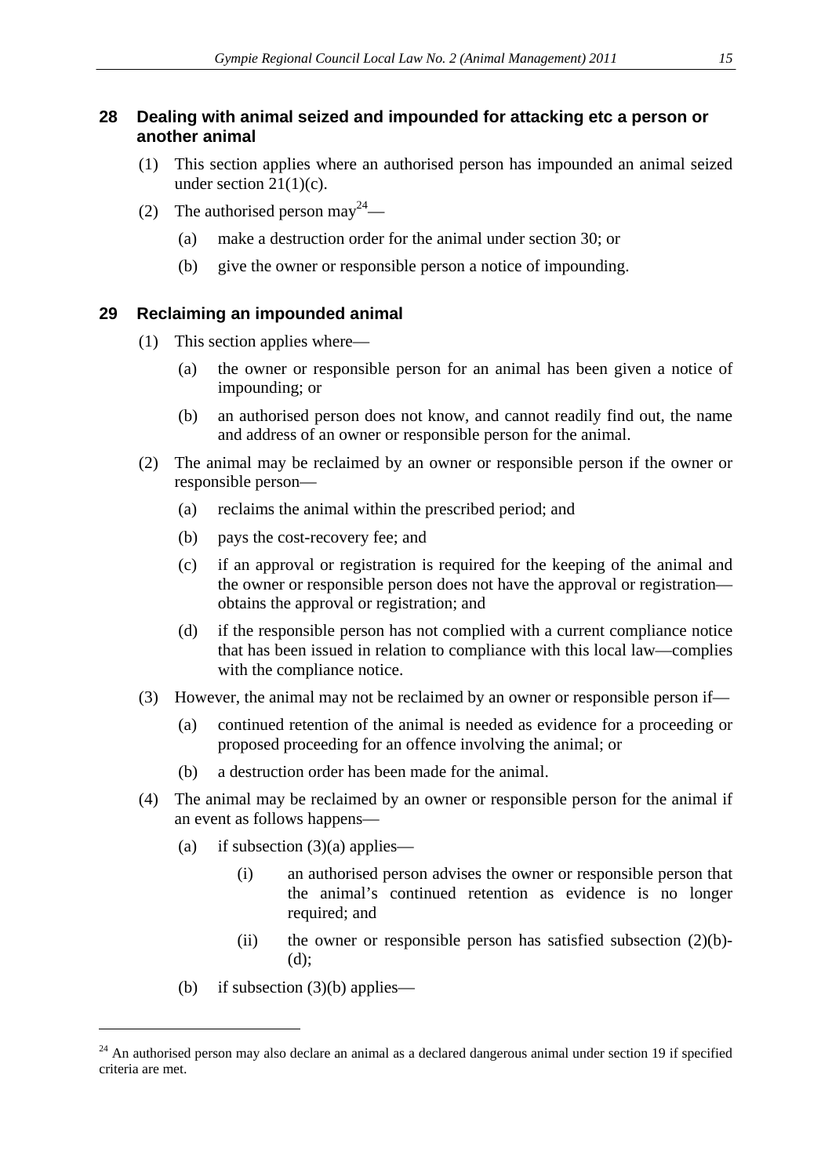## <span id="page-14-0"></span>**28 Dealing with animal seized and impounded for attacking etc a person or another animal**

- (1) This section applies where an authorised person has impounded an animal seized under section  $21(1)(c)$ .
- (2) The authorised person may  $2^4$ 
	- (a) make a destruction order for the animal under section 30; or
	- (b) give the owner or responsible person a notice of impounding.

## <span id="page-14-1"></span>**29 Reclaiming an impounded animal**

- (1) This section applies where—
	- (a) the owner or responsible person for an animal has been given a notice of impounding; or
	- (b) an authorised person does not know, and cannot readily find out, the name and address of an owner or responsible person for the animal.
- (2) The animal may be reclaimed by an owner or responsible person if the owner or responsible person—
	- (a) reclaims the animal within the prescribed period; and
	- (b) pays the cost-recovery fee; and
	- (c) if an approval or registration is required for the keeping of the animal and the owner or responsible person does not have the approval or registration obtains the approval or registration; and
	- (d) if the responsible person has not complied with a current compliance notice that has been issued in relation to compliance with this local law—complies with the compliance notice.
- (3) However, the animal may not be reclaimed by an owner or responsible person if—
	- (a) continued retention of the animal is needed as evidence for a proceeding or proposed proceeding for an offence involving the animal; or
	- (b) a destruction order has been made for the animal.
- (4) The animal may be reclaimed by an owner or responsible person for the animal if an event as follows happens—
	- (a) if subsection  $(3)(a)$  applies—
		- (i) an authorised person advises the owner or responsible person that the animal's continued retention as evidence is no longer required; and
		- (ii) the owner or responsible person has satisfied subsection  $(2)(b)$ -(d);
	- (b) if subsection  $(3)(b)$  applies—

<u>.</u>

<sup>&</sup>lt;sup>24</sup> An authorised person may also declare an animal as a declared dangerous animal under section 19 if specified criteria are met.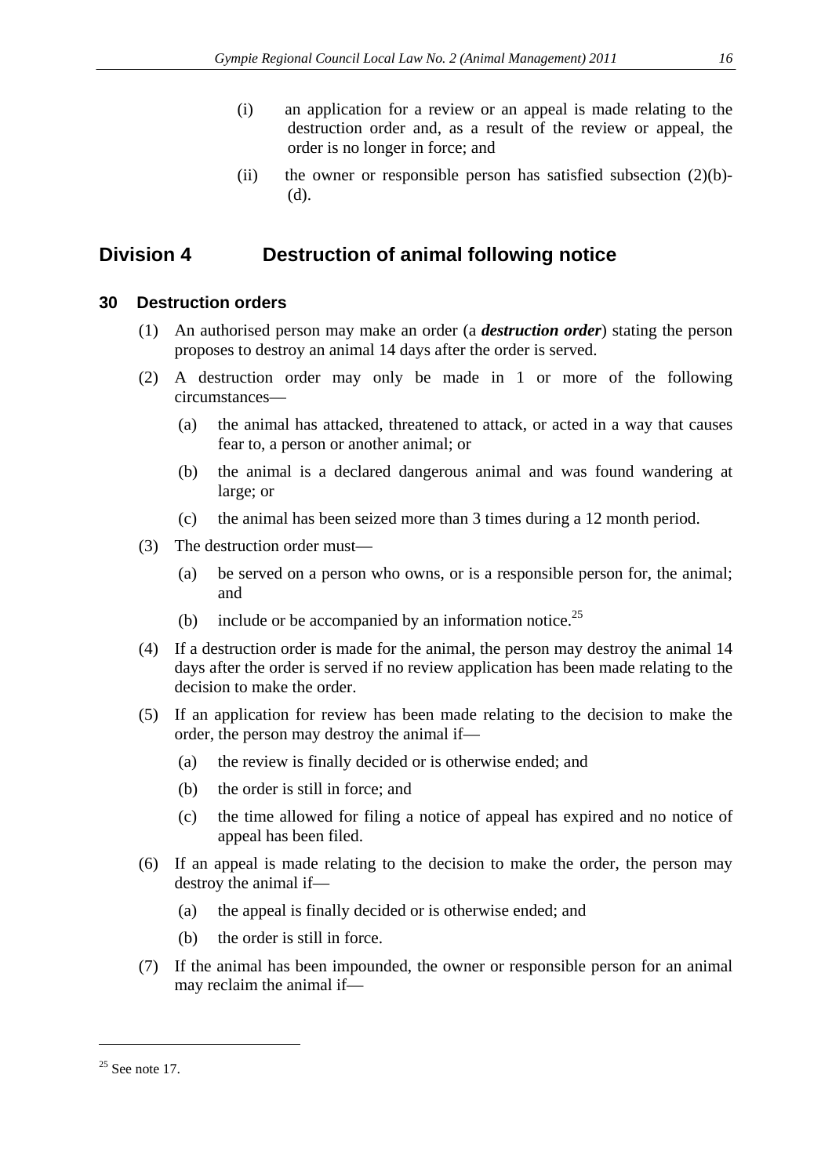- (i) an application for a review or an appeal is made relating to the destruction order and, as a result of the review or appeal, the order is no longer in force; and
- (ii) the owner or responsible person has satisfied subsection  $(2)(b)$ -(d).

## <span id="page-15-0"></span>**Division 4 Destruction of animal following notice**

## <span id="page-15-1"></span>**30 Destruction orders**

- (1) An authorised person may make an order (a *destruction order*) stating the person proposes to destroy an animal 14 days after the order is served.
- (2) A destruction order may only be made in 1 or more of the following circumstances—
	- (a) the animal has attacked, threatened to attack, or acted in a way that causes fear to, a person or another animal; or
	- (b) the animal is a declared dangerous animal and was found wandering at large; or
	- (c) the animal has been seized more than 3 times during a 12 month period.
- (3) The destruction order must—
	- (a) be served on a person who owns, or is a responsible person for, the animal; and
	- (b) include or be accompanied by an information notice.<sup>25</sup>
- (4) If a destruction order is made for the animal, the person may destroy the animal 14 days after the order is served if no review application has been made relating to the decision to make the order.
- (5) If an application for review has been made relating to the decision to make the order, the person may destroy the animal if—
	- (a) the review is finally decided or is otherwise ended; and
	- (b) the order is still in force; and
	- (c) the time allowed for filing a notice of appeal has expired and no notice of appeal has been filed.
- (6) If an appeal is made relating to the decision to make the order, the person may destroy the animal if—
	- (a) the appeal is finally decided or is otherwise ended; and
	- (b) the order is still in force.
- (7) If the animal has been impounded, the owner or responsible person for an animal may reclaim the animal if—

 $25$  See note 17.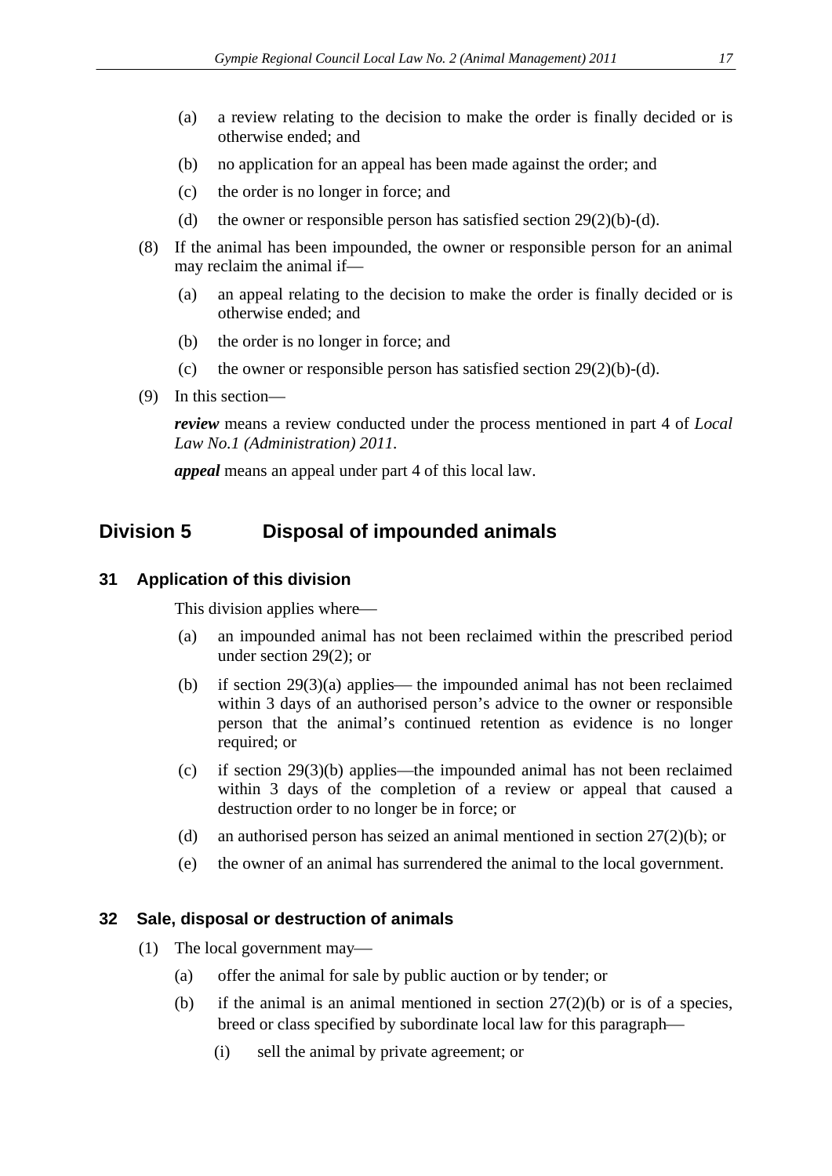- (a) a review relating to the decision to make the order is finally decided or is otherwise ended; and
- (b) no application for an appeal has been made against the order; and
- (c) the order is no longer in force; and
- (d) the owner or responsible person has satisfied section  $29(2)(b)-(d)$ .
- (8) If the animal has been impounded, the owner or responsible person for an animal may reclaim the animal if—
	- (a) an appeal relating to the decision to make the order is finally decided or is otherwise ended; and
	- (b) the order is no longer in force; and
	- (c) the owner or responsible person has satisfied section  $29(2)(b)-(d)$ .
- (9) In this section—

*review* means a review conducted under the process mentioned in part 4 of *Local Law No.1 (Administration) 2011.*

*appeal* means an appeal under part 4 of this local law.

## <span id="page-16-0"></span>**Division 5 Disposal of impounded animals**

## <span id="page-16-1"></span>**31 Application of this division**

This division applies where—

- (a) an impounded animal has not been reclaimed within the prescribed period under section 29(2); or
- (b) if section  $29(3)(a)$  applies— the impounded animal has not been reclaimed within 3 days of an authorised person's advice to the owner or responsible person that the animal's continued retention as evidence is no longer required; or
- (c) if section 29(3)(b) applies—the impounded animal has not been reclaimed within 3 days of the completion of a review or appeal that caused a destruction order to no longer be in force; or
- (d) an authorised person has seized an animal mentioned in section 27(2)(b); or
- (e) the owner of an animal has surrendered the animal to the local government.

## <span id="page-16-2"></span>**32 Sale, disposal or destruction of animals**

- (1) The local government may
	- (a) offer the animal for sale by public auction or by tender; or
	- (b) if the animal is an animal mentioned in section  $27(2)(b)$  or is of a species, breed or class specified by subordinate local law for this paragraph
		- (i) sell the animal by private agreement; or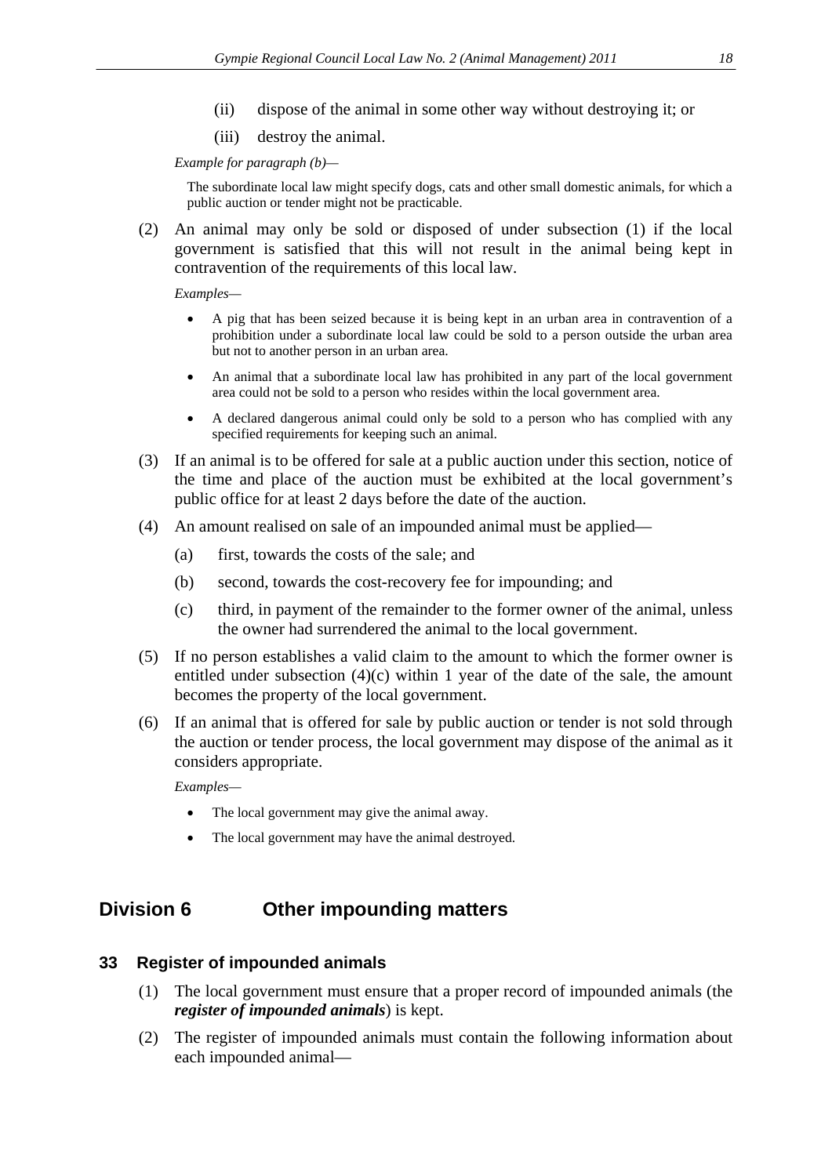- (ii) dispose of the animal in some other way without destroying it; or
- (iii) destroy the animal.

*Example for paragraph (b)—*

The subordinate local law might specify dogs, cats and other small domestic animals, for which a public auction or tender might not be practicable.

(2) An animal may only be sold or disposed of under subsection (1) if the local government is satisfied that this will not result in the animal being kept in contravention of the requirements of this local law.

*Examples—*

- A pig that has been seized because it is being kept in an urban area in contravention of a prohibition under a subordinate local law could be sold to a person outside the urban area but not to another person in an urban area.
- An animal that a subordinate local law has prohibited in any part of the local government area could not be sold to a person who resides within the local government area.
- A declared dangerous animal could only be sold to a person who has complied with any specified requirements for keeping such an animal.
- (3) If an animal is to be offered for sale at a public auction under this section, notice of the time and place of the auction must be exhibited at the local government's public office for at least 2 days before the date of the auction.
- (4) An amount realised on sale of an impounded animal must be applied—
	- (a) first, towards the costs of the sale; and
	- (b) second, towards the cost-recovery fee for impounding; and
	- (c) third, in payment of the remainder to the former owner of the animal, unless the owner had surrendered the animal to the local government.
- (5) If no person establishes a valid claim to the amount to which the former owner is entitled under subsection  $(4)(c)$  within 1 year of the date of the sale, the amount becomes the property of the local government.
- (6) If an animal that is offered for sale by public auction or tender is not sold through the auction or tender process, the local government may dispose of the animal as it considers appropriate.

*Examples—*

- The local government may give the animal away.
- The local government may have the animal destroyed.

## <span id="page-17-0"></span>**Division 6 Other impounding matters**

### <span id="page-17-1"></span>**33 Register of impounded animals**

- (1) The local government must ensure that a proper record of impounded animals (the *register of impounded animals*) is kept.
- (2) The register of impounded animals must contain the following information about each impounded animal—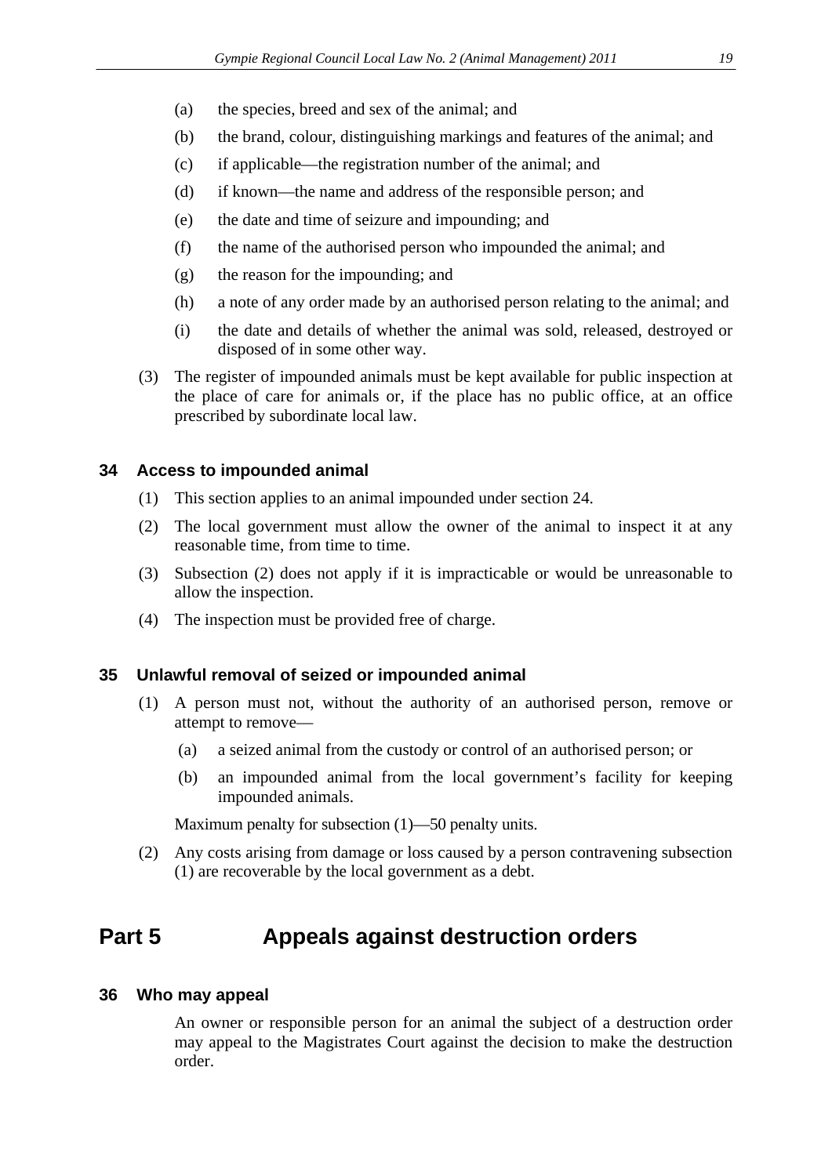- (a) the species, breed and sex of the animal; and
- (b) the brand, colour, distinguishing markings and features of the animal; and
- (c) if applicable—the registration number of the animal; and
- (d) if known—the name and address of the responsible person; and
- (e) the date and time of seizure and impounding; and
- (f) the name of the authorised person who impounded the animal; and
- (g) the reason for the impounding; and
- (h) a note of any order made by an authorised person relating to the animal; and
- (i) the date and details of whether the animal was sold, released, destroyed or disposed of in some other way.
- (3) The register of impounded animals must be kept available for public inspection at the place of care for animals or, if the place has no public office, at an office prescribed by subordinate local law.

#### <span id="page-18-0"></span>**34 Access to impounded animal**

- (1) This section applies to an animal impounded under section 24.
- (2) The local government must allow the owner of the animal to inspect it at any reasonable time, from time to time.
- (3) Subsection (2) does not apply if it is impracticable or would be unreasonable to allow the inspection.
- (4) The inspection must be provided free of charge.

### <span id="page-18-1"></span>**35 Unlawful removal of seized or impounded animal**

- (1) A person must not, without the authority of an authorised person, remove or attempt to remove—
	- (a) a seized animal from the custody or control of an authorised person; or
	- (b) an impounded animal from the local government's facility for keeping impounded animals.

Maximum penalty for subsection (1)—50 penalty units.

(2) Any costs arising from damage or loss caused by a person contravening subsection (1) are recoverable by the local government as a debt.

## <span id="page-18-2"></span>**Part 5 Appeals against destruction orders**

#### <span id="page-18-3"></span>**36 Who may appeal**

An owner or responsible person for an animal the subject of a destruction order may appeal to the Magistrates Court against the decision to make the destruction order.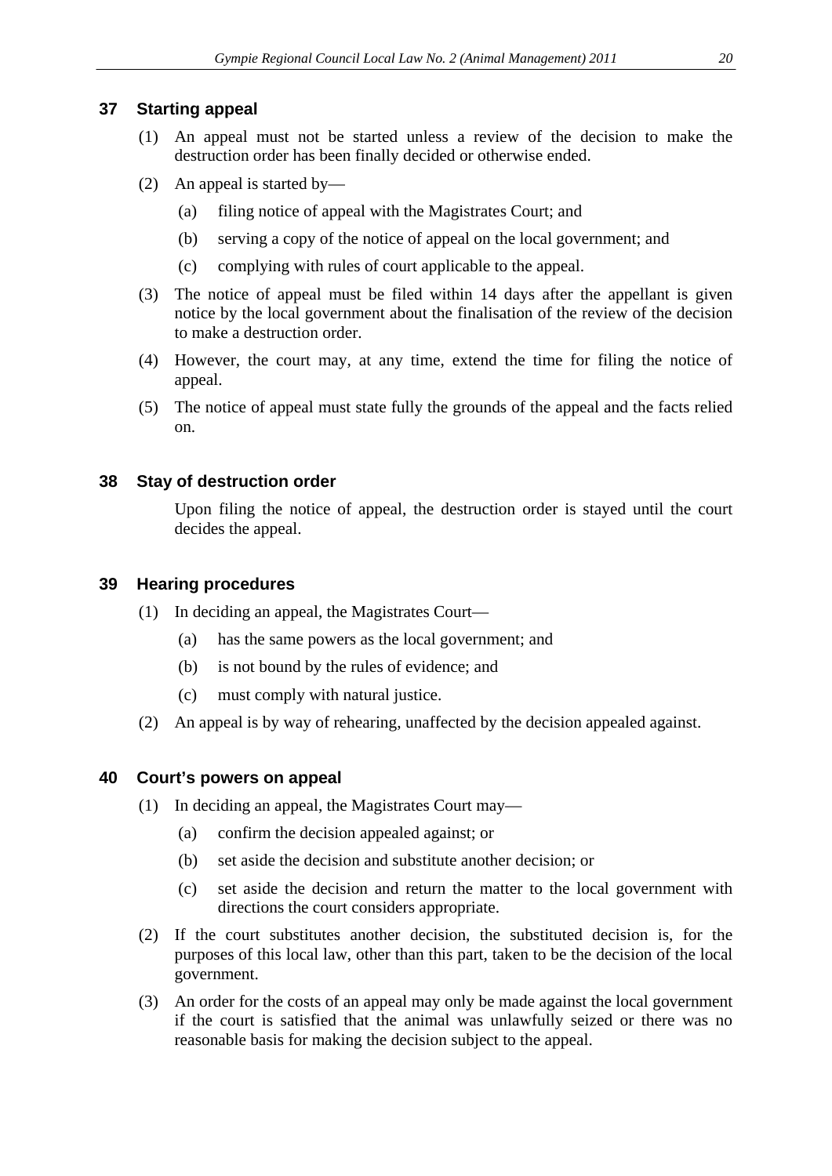## <span id="page-19-0"></span>**37 Starting appeal**

- (1) An appeal must not be started unless a review of the decision to make the destruction order has been finally decided or otherwise ended.
- (2) An appeal is started by—
	- (a) filing notice of appeal with the Magistrates Court; and
	- (b) serving a copy of the notice of appeal on the local government; and
	- (c) complying with rules of court applicable to the appeal.
- (3) The notice of appeal must be filed within 14 days after the appellant is given notice by the local government about the finalisation of the review of the decision to make a destruction order.
- (4) However, the court may, at any time, extend the time for filing the notice of appeal.
- (5) The notice of appeal must state fully the grounds of the appeal and the facts relied on.

### <span id="page-19-1"></span>**38 Stay of destruction order**

Upon filing the notice of appeal, the destruction order is stayed until the court decides the appeal.

### <span id="page-19-2"></span>**39 Hearing procedures**

- (1) In deciding an appeal, the Magistrates Court—
	- (a) has the same powers as the local government; and
	- (b) is not bound by the rules of evidence; and
	- (c) must comply with natural justice.
- (2) An appeal is by way of rehearing, unaffected by the decision appealed against.

### <span id="page-19-3"></span>**40 Court's powers on appeal**

- (1) In deciding an appeal, the Magistrates Court may—
	- (a) confirm the decision appealed against; or
	- (b) set aside the decision and substitute another decision; or
	- (c) set aside the decision and return the matter to the local government with directions the court considers appropriate.
- (2) If the court substitutes another decision, the substituted decision is, for the purposes of this local law, other than this part, taken to be the decision of the local government.
- (3) An order for the costs of an appeal may only be made against the local government if the court is satisfied that the animal was unlawfully seized or there was no reasonable basis for making the decision subject to the appeal.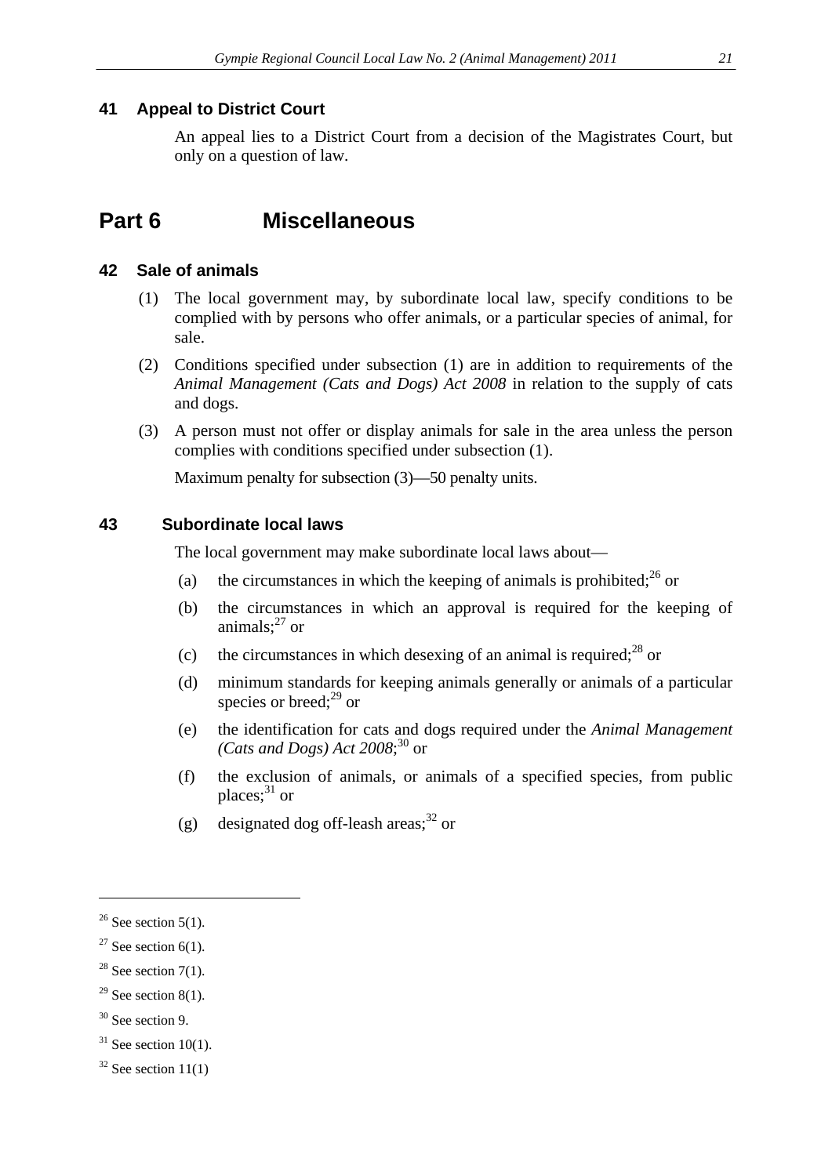## <span id="page-20-0"></span>**41 Appeal to District Court**

An appeal lies to a District Court from a decision of the Magistrates Court, but only on a question of law.

## <span id="page-20-1"></span>**Part 6 Miscellaneous**

### <span id="page-20-2"></span>**42 Sale of animals**

- (1) The local government may, by subordinate local law, specify conditions to be complied with by persons who offer animals, or a particular species of animal, for sale.
- (2) Conditions specified under subsection (1) are in addition to requirements of the *Animal Management (Cats and Dogs) Act 2008* in relation to the supply of cats and dogs.
- (3) A person must not offer or display animals for sale in the area unless the person complies with conditions specified under subsection (1).

Maximum penalty for subsection (3)—50 penalty units.

### <span id="page-20-3"></span>**43 Subordinate local laws**

The local government may make subordinate local laws about—

- (a) the circumstances in which the keeping of animals is prohibited;  $^{26}$  or
- (b) the circumstances in which an approval is required for the keeping of animals; $^{27}$  or
- (c) the circumstances in which desexing of an animal is required; $^{28}$  or
- (d) minimum standards for keeping animals generally or animals of a particular species or breed;<sup>29</sup> or
- (e) the identification for cats and dogs required under the *Animal Management (Cats and Dogs) Act 2008*; <sup>30</sup> or
- (f) the exclusion of animals, or animals of a specified species, from public places; <sup>31</sup> or
- (g) designated dog off-leash areas;<sup>32</sup> or

 $26$  See section 5(1).

<sup>&</sup>lt;sup>27</sup> See section  $6(1)$ .

 $28$  See section 7(1).

 $29$  See section 8(1).

<sup>&</sup>lt;sup>30</sup> See section 9.

 $31$  See section 10(1).

 $32$  See section 11(1)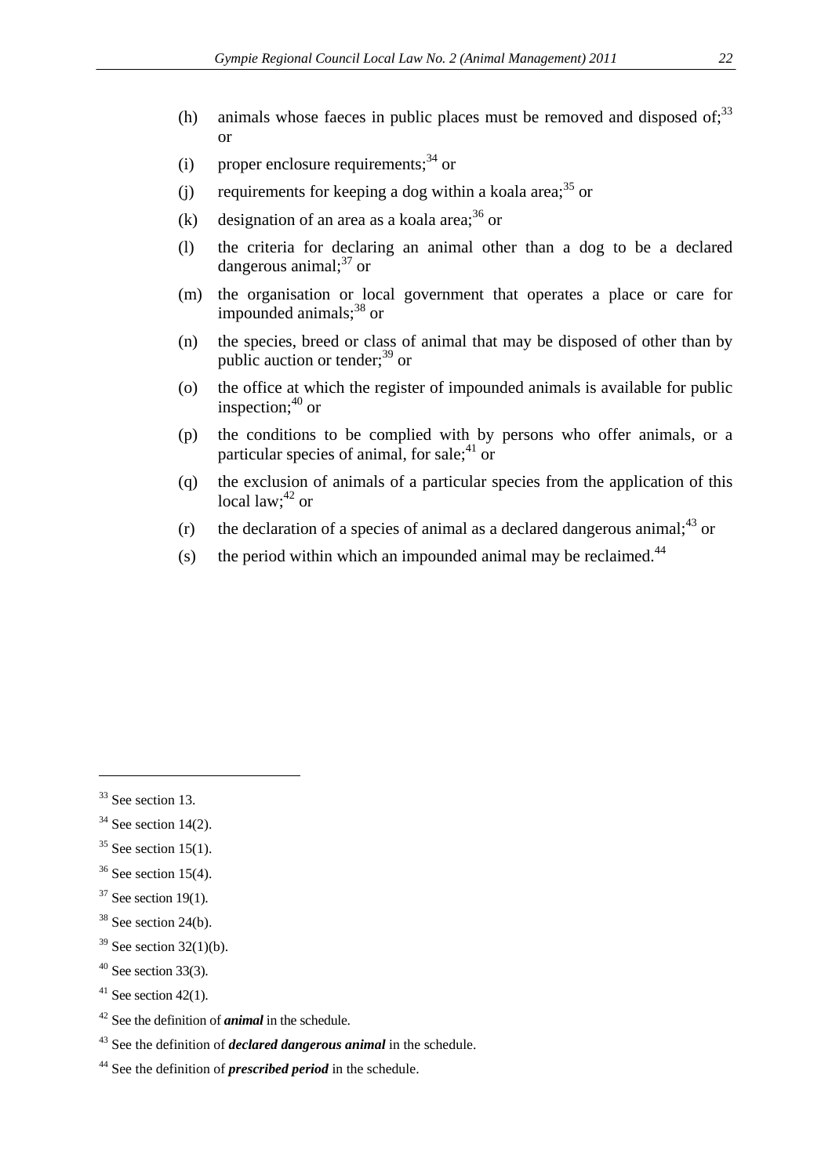- (h) animals whose faeces in public places must be removed and disposed of: $33$ or
- (i) proper enclosure requirements; <sup>34</sup> or
- (j) requirements for keeping a dog within a koala area;<sup>35</sup> or
- (k) designation of an area as a koala area;  $36$  or
- (l) the criteria for declaring an animal other than a dog to be a declared dangerous animal; <sup>37</sup> or
- (m) the organisation or local government that operates a place or care for impounded animals; $38$  or
- (n) the species, breed or class of animal that may be disposed of other than by public auction or tender;39 or
- (o) the office at which the register of impounded animals is available for public inspection; <sup>40</sup> or
- (p) the conditions to be complied with by persons who offer animals, or a particular species of animal, for sale; $41$  or
- (q) the exclusion of animals of a particular species from the application of this local law;<sup>42</sup> or
- (r) the declaration of a species of animal as a declared dangerous animal;  $43$  or
- (s) the period within which an impounded animal may be reclaimed.<sup>44</sup>

<u>.</u>

- $35$  See section 15(1).
- $36$  See section 15(4).

 $40$  See section 33(3).

 $33$  See section 13.

 $34$  See section 14(2).

 $37$  See section 19(1).

 $38$  See section 24(b).

 $39$  See section 32(1)(b).

 $41$  See section 42(1).

<sup>42</sup> See the definition of *animal* in the schedule.

<sup>43</sup> See the definition of *declared dangerous animal* in the schedule.

<sup>44</sup> See the definition of *prescribed period* in the schedule.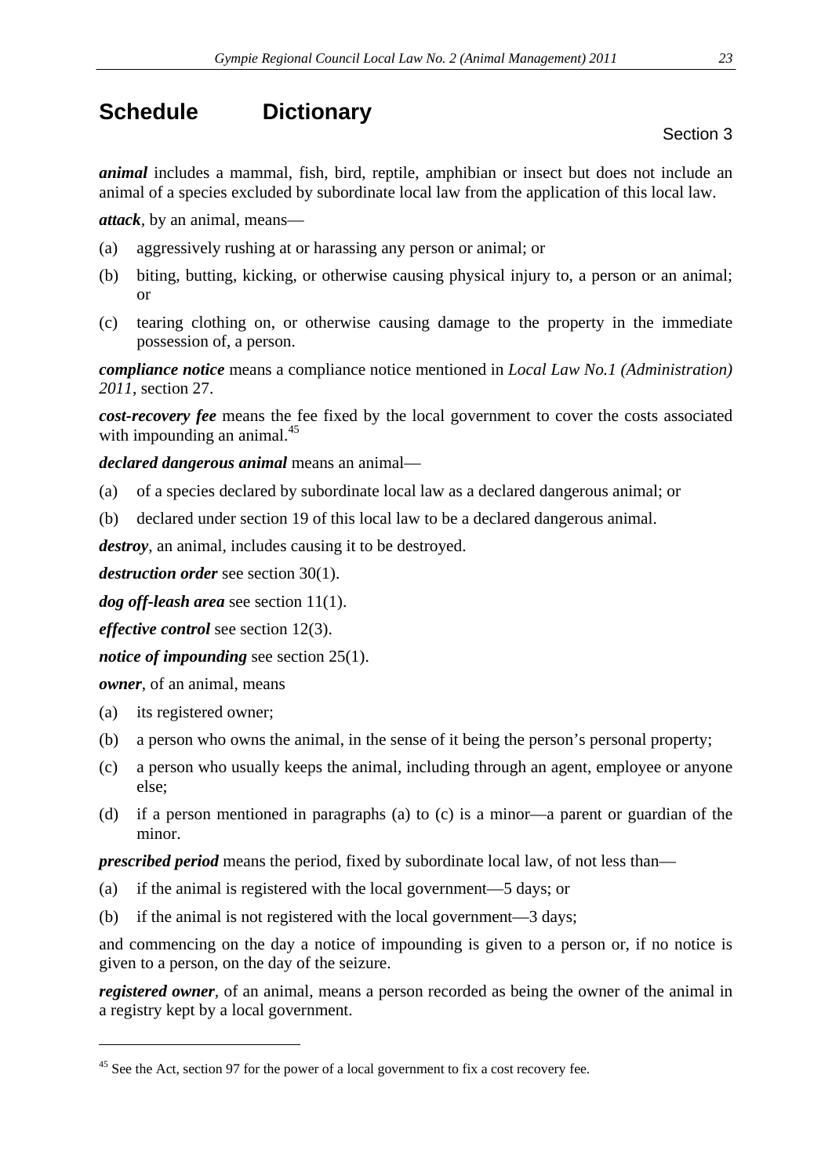## <span id="page-22-0"></span>**Schedule Dictionary**

*animal* includes a mammal, fish, bird, reptile, amphibian or insect but does not include an animal of a species excluded by subordinate local law from the application of this local law.

*attack,* by an animal, means—

- (a) aggressively rushing at or harassing any person or animal; or
- (b) biting, butting, kicking, or otherwise causing physical injury to, a person or an animal; or
- (c) tearing clothing on, or otherwise causing damage to the property in the immediate possession of, a person.

*compliance notice* means a compliance notice mentioned in *Local Law No.1 (Administration) 2011*, section 27.

*cost-recovery fee* means the fee fixed by the local government to cover the costs associated with impounding an animal. $45$ 

*declared dangerous animal* means an animal—

- (a) of a species declared by subordinate local law as a declared dangerous animal; or
- (b) declared under section 19 of this local law to be a declared dangerous animal.

*destroy*, an animal, includes causing it to be destroyed.

*destruction order* see section 30(1).

*dog off-leash area* see section 11(1).

*effective control* see section 12(3).

*notice of impounding* see section 25(1).

*owner*, of an animal, means

(a) its registered owner;

-

- (b) a person who owns the animal, in the sense of it being the person's personal property;
- (c) a person who usually keeps the animal, including through an agent, employee or anyone else;
- (d) if a person mentioned in paragraphs (a) to (c) is a minor—a parent or guardian of the minor.

*prescribed period* means the period, fixed by subordinate local law, of not less than—

- (a) if the animal is registered with the local government—5 days; or
- (b) if the animal is not registered with the local government—3 days;

and commencing on the day a notice of impounding is given to a person or, if no notice is given to a person, on the day of the seizure.

*registered owner*, of an animal, means a person recorded as being the owner of the animal in a registry kept by a local government.

Section 3

<sup>&</sup>lt;sup>45</sup> See the Act, section 97 for the power of a local government to fix a cost recovery fee.